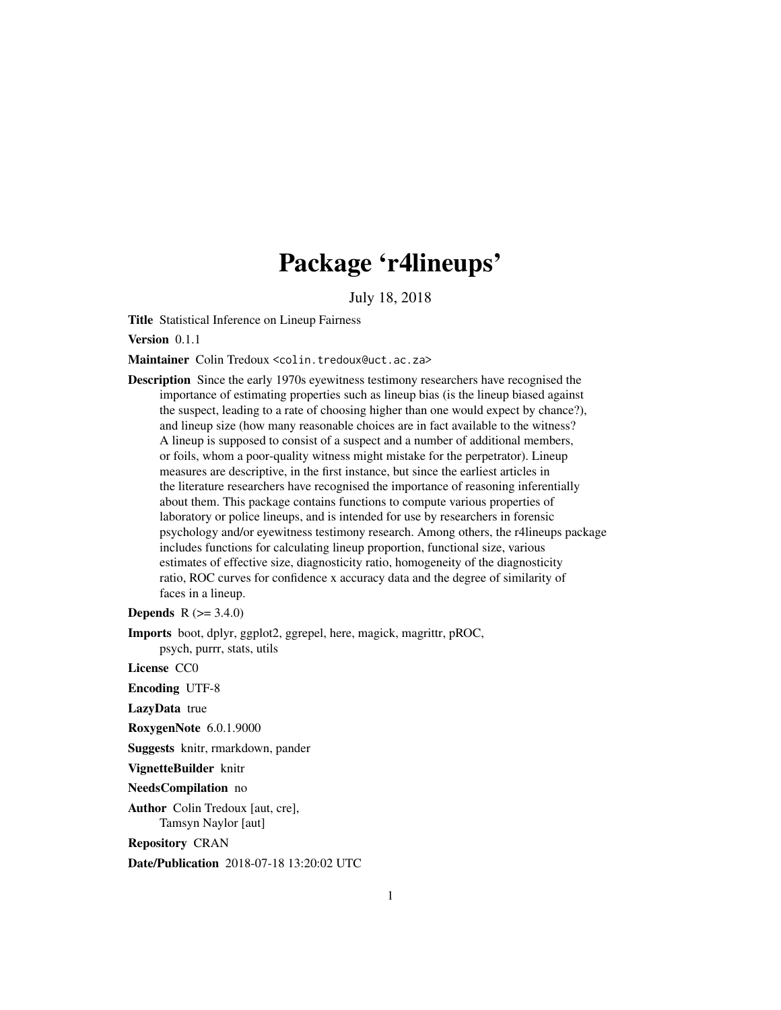# Package 'r4lineups'

July 18, 2018

<span id="page-0-0"></span>Title Statistical Inference on Lineup Fairness

Version 0.1.1

Maintainer Colin Tredoux <colin.tredoux@uct.ac.za>

Description Since the early 1970s eyewitness testimony researchers have recognised the importance of estimating properties such as lineup bias (is the lineup biased against the suspect, leading to a rate of choosing higher than one would expect by chance?), and lineup size (how many reasonable choices are in fact available to the witness? A lineup is supposed to consist of a suspect and a number of additional members, or foils, whom a poor-quality witness might mistake for the perpetrator). Lineup measures are descriptive, in the first instance, but since the earliest articles in the literature researchers have recognised the importance of reasoning inferentially about them. This package contains functions to compute various properties of laboratory or police lineups, and is intended for use by researchers in forensic psychology and/or eyewitness testimony research. Among others, the r4lineups package includes functions for calculating lineup proportion, functional size, various estimates of effective size, diagnosticity ratio, homogeneity of the diagnosticity ratio, ROC curves for confidence x accuracy data and the degree of similarity of faces in a lineup.

**Depends** R  $(>= 3.4.0)$ 

Imports boot, dplyr, ggplot2, ggrepel, here, magick, magrittr, pROC, psych, purrr, stats, utils

License CC0

Encoding UTF-8

LazyData true

RoxygenNote 6.0.1.9000

Suggests knitr, rmarkdown, pander

VignetteBuilder knitr

NeedsCompilation no

Author Colin Tredoux [aut, cre], Tamsyn Naylor [aut]

Repository CRAN

Date/Publication 2018-07-18 13:20:02 UTC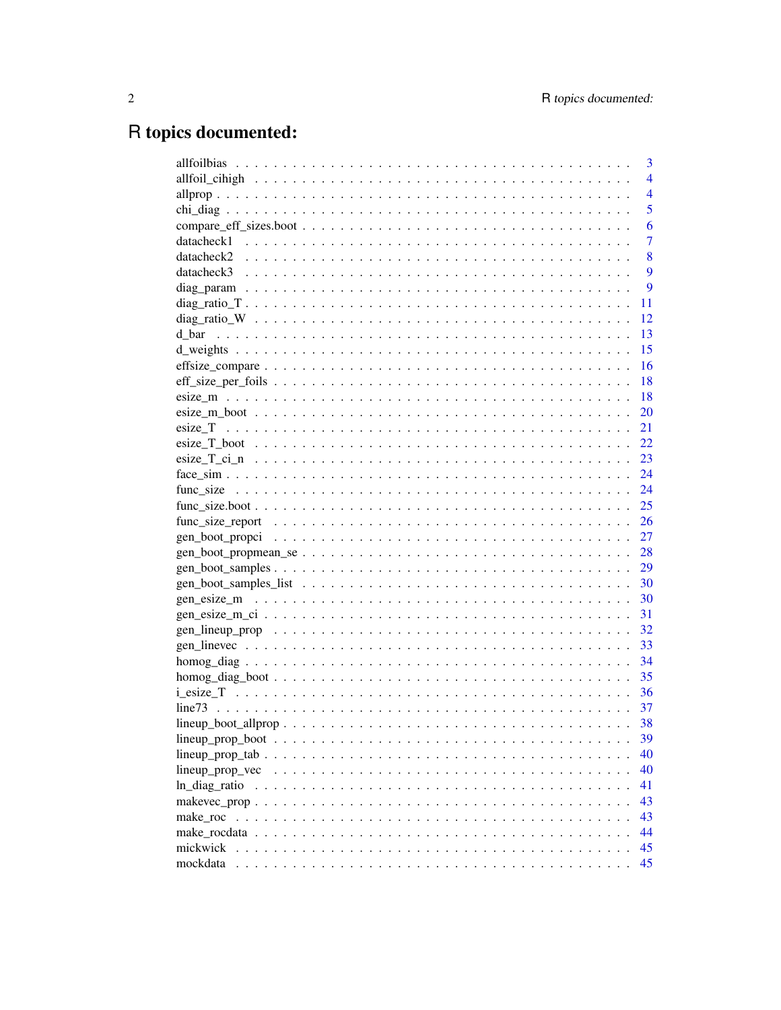# R topics documented:

|          | 3              |
|----------|----------------|
|          | $\overline{4}$ |
|          | $\overline{4}$ |
|          | 5              |
|          | 6              |
|          | $\overline{7}$ |
|          | 8              |
|          | 9              |
|          | 9              |
|          | 11             |
|          | 12             |
| d bar    | 13             |
|          | 15             |
|          | 16             |
|          | 18             |
|          | -18            |
|          | 20             |
|          | 21             |
|          | 22             |
|          | 23             |
|          | 24             |
|          | 24             |
|          | 25             |
|          | 26             |
|          | 27             |
|          | 28             |
|          |                |
|          | 30             |
|          | 30             |
|          | 31             |
|          | 32             |
|          | 33             |
|          | 34             |
|          | 35             |
|          | -36            |
|          | 37             |
|          | 38             |
|          | 39             |
|          | 40             |
|          | 40             |
|          | 41             |
|          | 43             |
| make roc | 43             |
|          | 44             |
| mickwick | 45             |
| mockdata | 45             |
|          |                |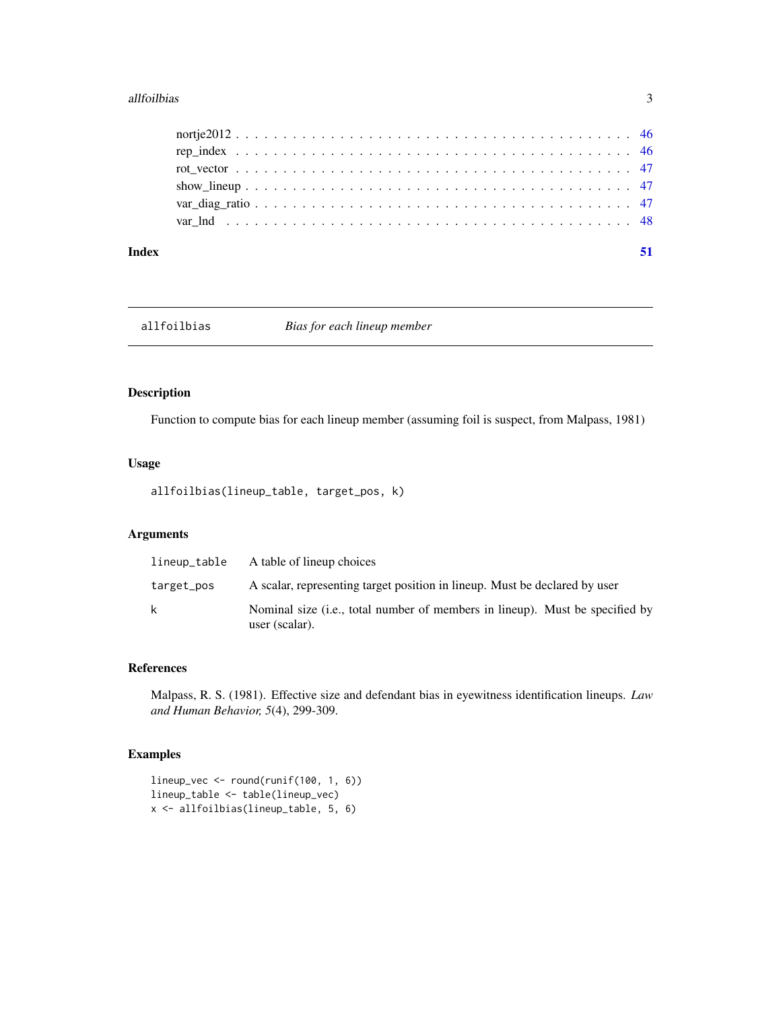#### <span id="page-2-0"></span>allfoilbias 3

| Index |  |
|-------|--|
|       |  |
|       |  |
|       |  |
|       |  |
|       |  |
|       |  |

allfoilbias *Bias for each lineup member*

# Description

Function to compute bias for each lineup member (assuming foil is suspect, from Malpass, 1981)

# Usage

allfoilbias(lineup\_table, target\_pos, k)

# Arguments

| lineup_table | A table of lineup choices                                                                      |
|--------------|------------------------------------------------------------------------------------------------|
| target_pos   | A scalar, representing target position in lineup. Must be declared by user                     |
| k            | Nominal size (i.e., total number of members in lineup). Must be specified by<br>user (scalar). |

# References

Malpass, R. S. (1981). Effective size and defendant bias in eyewitness identification lineups. *Law and Human Behavior, 5*(4), 299-309.

# Examples

lineup\_vec <- round(runif(100, 1, 6)) lineup\_table <- table(lineup\_vec) x <- allfoilbias(lineup\_table, 5, 6)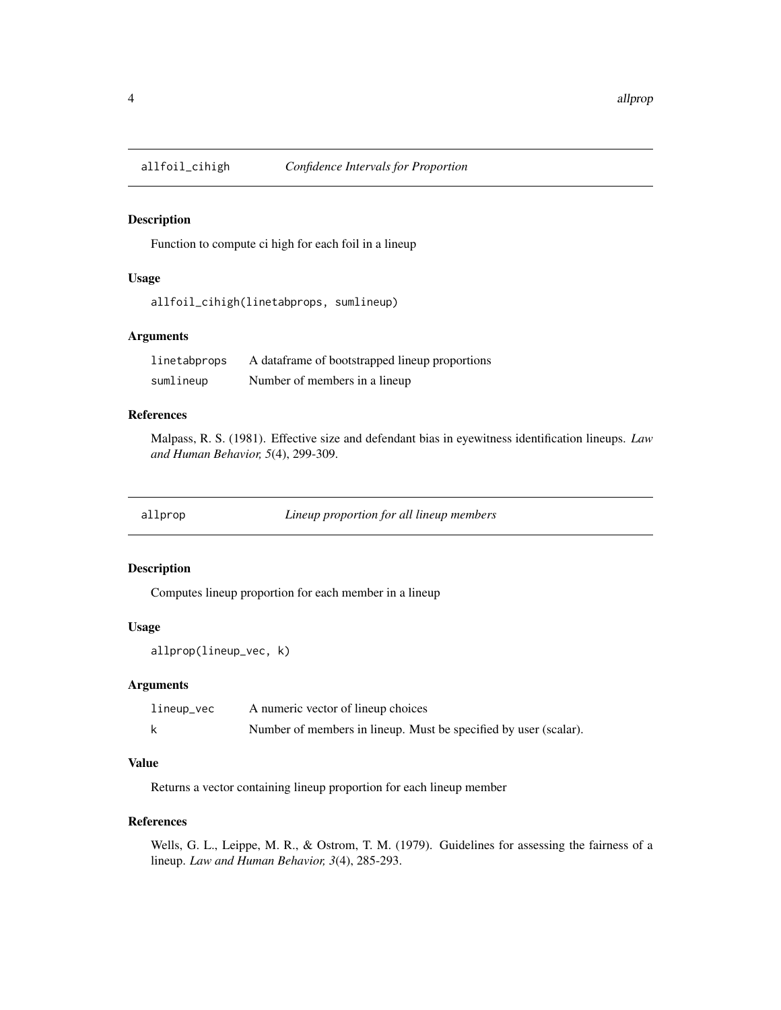<span id="page-3-0"></span>

# Description

Function to compute ci high for each foil in a lineup

#### Usage

allfoil\_cihigh(linetabprops, sumlineup)

# Arguments

| linetabprops | A dataframe of bootstrapped lineup proportions |
|--------------|------------------------------------------------|
| sumlineup    | Number of members in a lineup                  |

# References

Malpass, R. S. (1981). Effective size and defendant bias in eyewitness identification lineups. *Law and Human Behavior, 5*(4), 299-309.

allprop *Lineup proportion for all lineup members*

# Description

Computes lineup proportion for each member in a lineup

# Usage

```
allprop(lineup_vec, k)
```
# Arguments

| lineup_vec | A numeric vector of lineup choices                               |
|------------|------------------------------------------------------------------|
|            | Number of members in lineup. Must be specified by user (scalar). |

# Value

Returns a vector containing lineup proportion for each lineup member

# References

Wells, G. L., Leippe, M. R., & Ostrom, T. M. (1979). Guidelines for assessing the fairness of a lineup. *Law and Human Behavior, 3*(4), 285-293.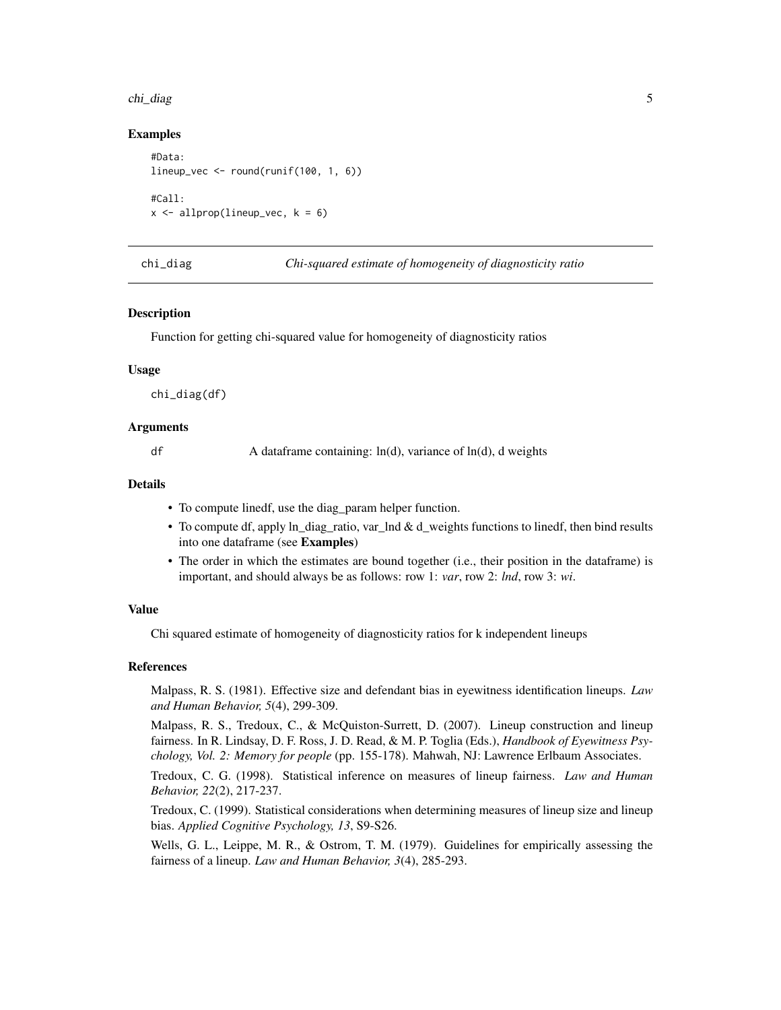#### <span id="page-4-0"></span>chi\_diag 5

# Examples

```
#Data:
lineup_vec \le round(runif(100, 1, 6))
#Call:
x \le - allprop(lineup_vec, k = 6)
```
chi\_diag *Chi-squared estimate of homogeneity of diagnosticity ratio*

# **Description**

Function for getting chi-squared value for homogeneity of diagnosticity ratios

# Usage

chi\_diag(df)

# Arguments

df A dataframe containing:  $ln(d)$ , variance of  $ln(d)$ , d weights

# Details

- To compute linedf, use the diag\_param helper function.
- To compute df, apply ln\_diag\_ratio, var\_lnd & d\_weights functions to linedf, then bind results into one dataframe (see Examples)
- The order in which the estimates are bound together (i.e., their position in the dataframe) is important, and should always be as follows: row 1: *var*, row 2: *lnd*, row 3: *wi*.

# Value

Chi squared estimate of homogeneity of diagnosticity ratios for k independent lineups

#### References

Malpass, R. S. (1981). Effective size and defendant bias in eyewitness identification lineups. *Law and Human Behavior, 5*(4), 299-309.

Malpass, R. S., Tredoux, C., & McQuiston-Surrett, D. (2007). Lineup construction and lineup fairness. In R. Lindsay, D. F. Ross, J. D. Read, & M. P. Toglia (Eds.), *Handbook of Eyewitness Psychology, Vol. 2: Memory for people* (pp. 155-178). Mahwah, NJ: Lawrence Erlbaum Associates.

Tredoux, C. G. (1998). Statistical inference on measures of lineup fairness. *Law and Human Behavior, 22*(2), 217-237.

Tredoux, C. (1999). Statistical considerations when determining measures of lineup size and lineup bias. *Applied Cognitive Psychology, 13*, S9-S26.

Wells, G. L., Leippe, M. R., & Ostrom, T. M. (1979). Guidelines for empirically assessing the fairness of a lineup. *Law and Human Behavior, 3*(4), 285-293.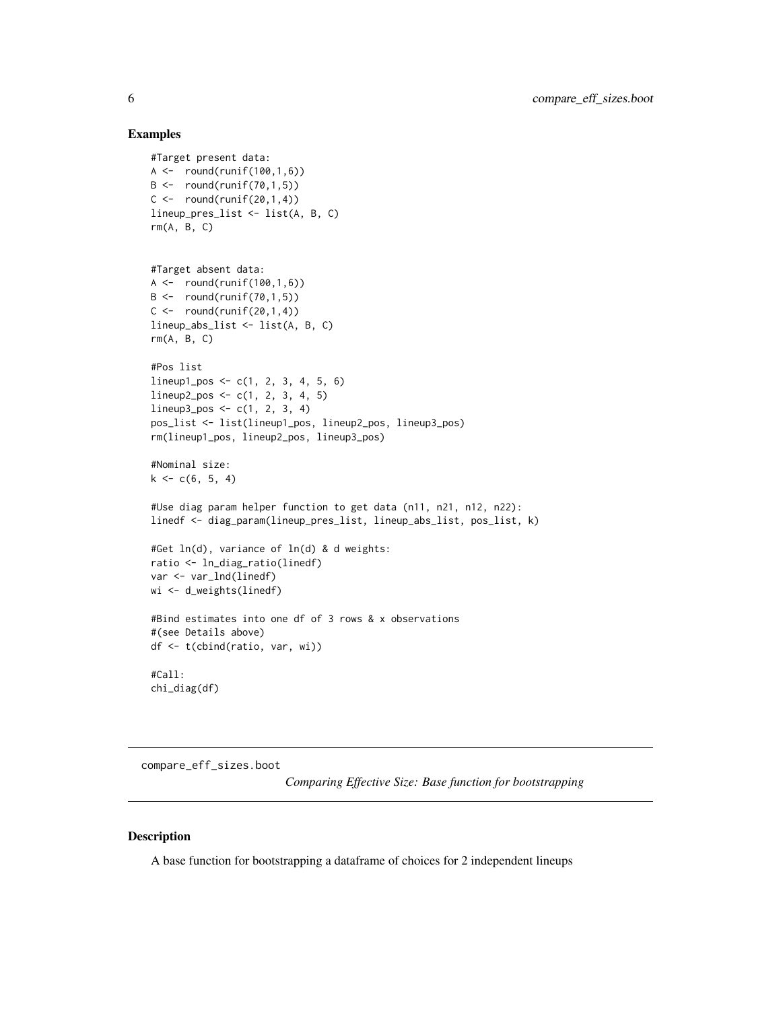#### Examples

```
#Target present data:
A \leftarrow \text{round}(\text{runif}(100, 1, 6))B \leftarrow \text{round}(\text{runif}(70, 1, 5))C \leftarrow \text{round}(\text{runif}(20,1,4))lineup_pres_list <- list(A, B, C)
rm(A, B, C)
#Target absent data:
A \leftarrow \text{round}(\text{runif}(100, 1, 6))B \leftarrow \text{round}(\text{runif}(70, 1, 5))C \leftarrow \text{round}(\text{runif}(20,1,4))lineup_abs_list <- list(A, B, C)
rm(A, B, C)
#Pos list
lineup1_pos <- c(1, 2, 3, 4, 5, 6)
lineup2_pos <- c(1, 2, 3, 4, 5)
lineup3_pos < -c(1, 2, 3, 4)pos_list <- list(lineup1_pos, lineup2_pos, lineup3_pos)
rm(lineup1_pos, lineup2_pos, lineup3_pos)
#Nominal size:
k \leq c(6, 5, 4)#Use diag param helper function to get data (n11, n21, n12, n22):
linedf <- diag_param(lineup_pres_list, lineup_abs_list, pos_list, k)
#Get ln(d), variance of ln(d) & d weights:
ratio <- ln_diag_ratio(linedf)
var <- var_lnd(linedf)
wi <- d_weights(linedf)
#Bind estimates into one df of 3 rows & x observations
#(see Details above)
df <- t(cbind(ratio, var, wi))
#Call:
chi_diag(df)
```
compare\_eff\_sizes.boot

*Comparing Effective Size: Base function for bootstrapping*

# Description

A base function for bootstrapping a dataframe of choices for 2 independent lineups

<span id="page-5-0"></span>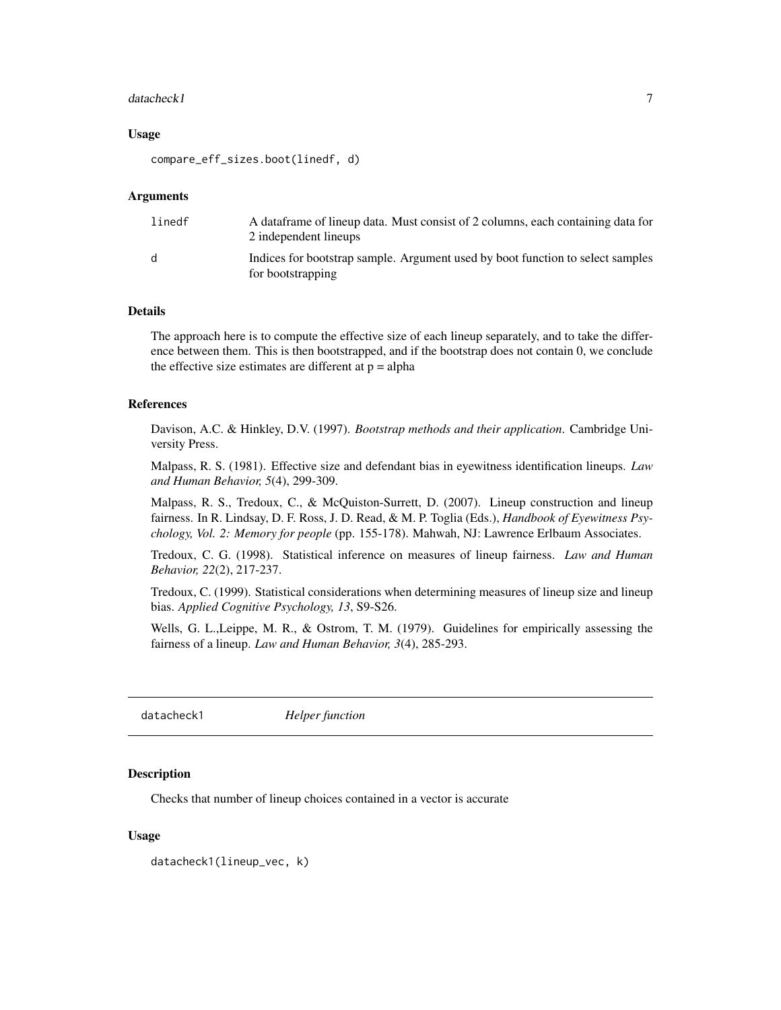#### <span id="page-6-0"></span>datacheck1 7

#### Usage

compare\_eff\_sizes.boot(linedf, d)

#### Arguments

| linedf | A data frame of lineup data. Must consist of 2 columns, each containing data for<br>2 independent lineups |
|--------|-----------------------------------------------------------------------------------------------------------|
| d.     | Indices for bootstrap sample. Argument used by boot function to select samples<br>for bootstrapping       |

# Details

The approach here is to compute the effective size of each lineup separately, and to take the difference between them. This is then bootstrapped, and if the bootstrap does not contain 0, we conclude the effective size estimates are different at  $p = alpha$ 

#### References

Davison, A.C. & Hinkley, D.V. (1997). *Bootstrap methods and their application*. Cambridge University Press.

Malpass, R. S. (1981). Effective size and defendant bias in eyewitness identification lineups. *Law and Human Behavior, 5*(4), 299-309.

Malpass, R. S., Tredoux, C., & McQuiston-Surrett, D. (2007). Lineup construction and lineup fairness. In R. Lindsay, D. F. Ross, J. D. Read, & M. P. Toglia (Eds.), *Handbook of Eyewitness Psychology, Vol. 2: Memory for people* (pp. 155-178). Mahwah, NJ: Lawrence Erlbaum Associates.

Tredoux, C. G. (1998). Statistical inference on measures of lineup fairness. *Law and Human Behavior, 22*(2), 217-237.

Tredoux, C. (1999). Statistical considerations when determining measures of lineup size and lineup bias. *Applied Cognitive Psychology, 13*, S9-S26.

Wells, G. L.,Leippe, M. R., & Ostrom, T. M. (1979). Guidelines for empirically assessing the fairness of a lineup. *Law and Human Behavior, 3*(4), 285-293.

datacheck1 *Helper function*

#### **Description**

Checks that number of lineup choices contained in a vector is accurate

#### Usage

datacheck1(lineup\_vec, k)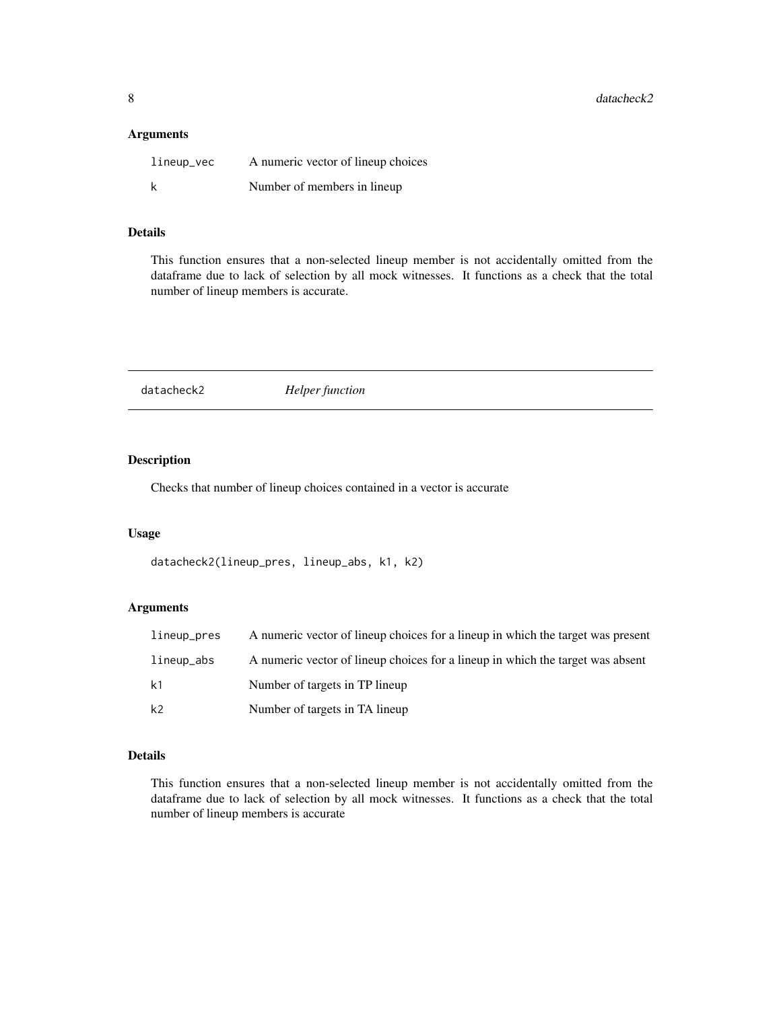<span id="page-7-0"></span>8 datacheck2

# Arguments

| lineup_vec | A numeric vector of lineup choices |
|------------|------------------------------------|
| k          | Number of members in lineup        |

# Details

This function ensures that a non-selected lineup member is not accidentally omitted from the dataframe due to lack of selection by all mock witnesses. It functions as a check that the total number of lineup members is accurate.

datacheck2 *Helper function*

# Description

Checks that number of lineup choices contained in a vector is accurate

# Usage

```
datacheck2(lineup_pres, lineup_abs, k1, k2)
```
# Arguments

| lineup_pres | A numeric vector of lineup choices for a lineup in which the target was present |
|-------------|---------------------------------------------------------------------------------|
| lineup_abs  | A numeric vector of lineup choices for a lineup in which the target was absent  |
| k1          | Number of targets in TP lineup                                                  |
| k2          | Number of targets in TA lineup                                                  |

# Details

This function ensures that a non-selected lineup member is not accidentally omitted from the dataframe due to lack of selection by all mock witnesses. It functions as a check that the total number of lineup members is accurate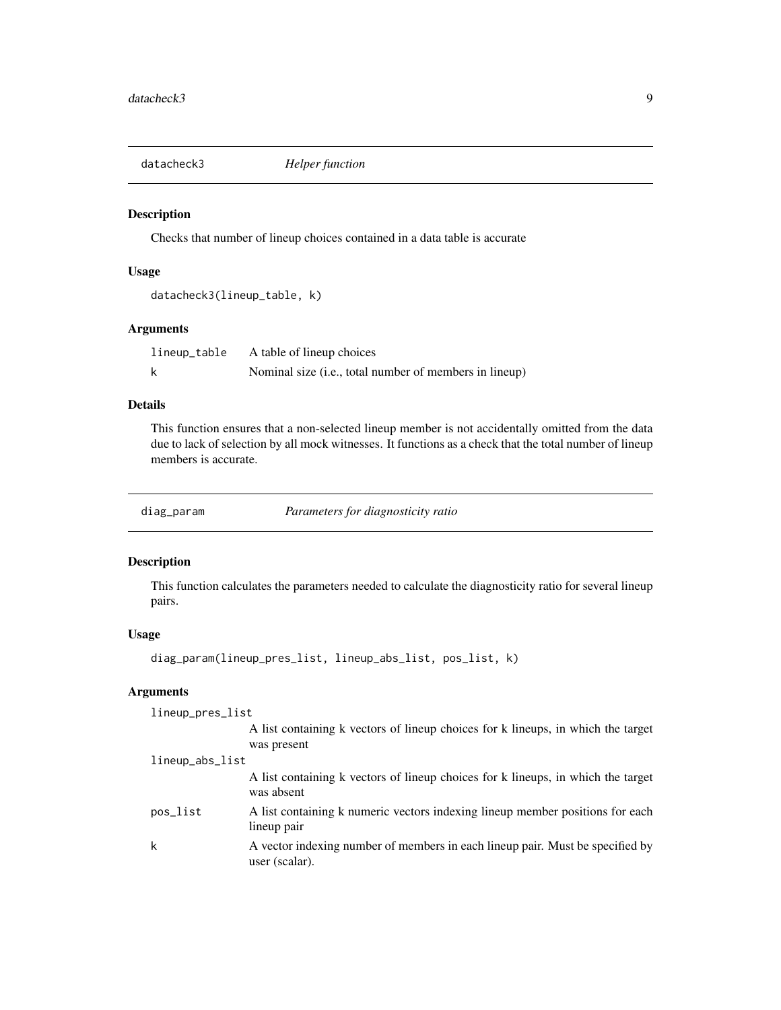<span id="page-8-0"></span>

# Description

Checks that number of lineup choices contained in a data table is accurate

#### Usage

```
datacheck3(lineup_table, k)
```
# Arguments

| lineup_table | A table of lineup choices                              |
|--------------|--------------------------------------------------------|
| k            | Nominal size (i.e., total number of members in lineup) |

# Details

This function ensures that a non-selected lineup member is not accidentally omitted from the data due to lack of selection by all mock witnesses. It functions as a check that the total number of lineup members is accurate.

diag\_param *Parameters for diagnosticity ratio*

# Description

This function calculates the parameters needed to calculate the diagnosticity ratio for several lineup pairs.

# Usage

```
diag_param(lineup_pres_list, lineup_abs_list, pos_list, k)
```
# Arguments

| lineup_pres_list |                                                                                                 |
|------------------|-------------------------------------------------------------------------------------------------|
|                  | A list containing k vectors of lineup choices for k lineups, in which the target<br>was present |
| lineup_abs_list  |                                                                                                 |
|                  | A list containing k vectors of lineup choices for k lineups, in which the target<br>was absent  |
| pos_list         | A list containing k numeric vectors indexing lineup member positions for each<br>lineup pair    |
| k                | A vector indexing number of members in each lineup pair. Must be specified by<br>user (scalar). |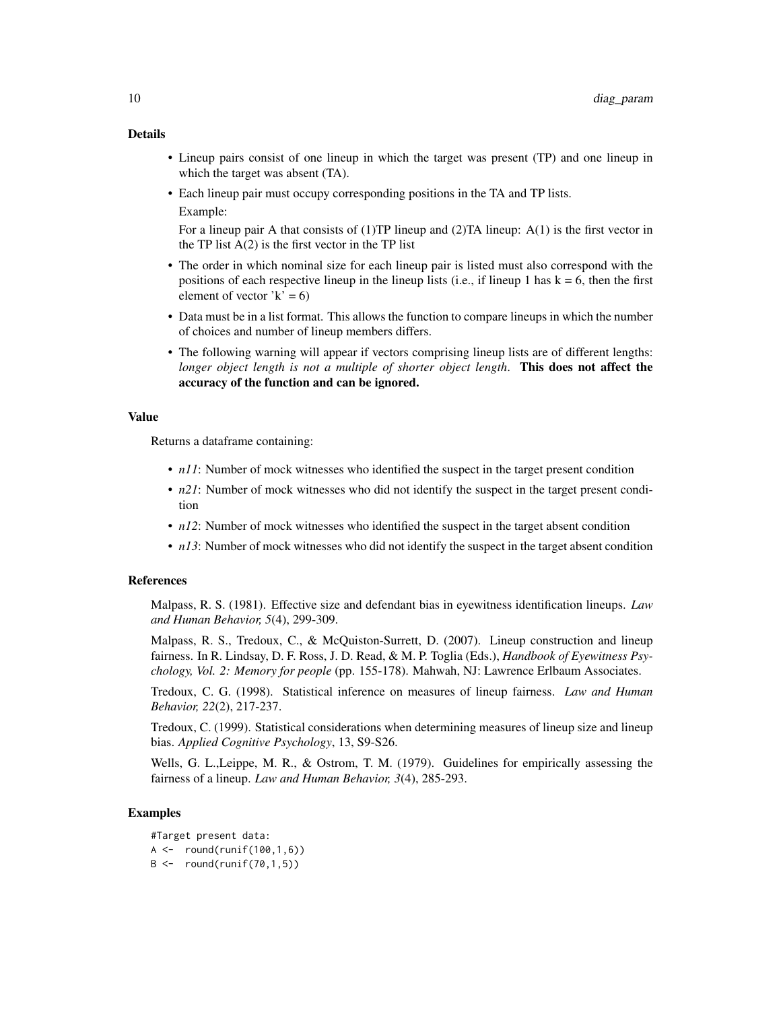# Details

- Lineup pairs consist of one lineup in which the target was present (TP) and one lineup in which the target was absent (TA).
- Each lineup pair must occupy corresponding positions in the TA and TP lists. Example:

For a lineup pair A that consists of  $(1)$ TP lineup and  $(2)$ TA lineup: A $(1)$  is the first vector in the TP list  $A(2)$  is the first vector in the TP list

- The order in which nominal size for each lineup pair is listed must also correspond with the positions of each respective lineup in the lineup lists (i.e., if lineup 1 has  $k = 6$ , then the first element of vector  $k' = 6$ )
- Data must be in a list format. This allows the function to compare lineups in which the number of choices and number of lineup members differs.
- The following warning will appear if vectors comprising lineup lists are of different lengths: *longer object length is not a multiple of shorter object length*. This does not affect the accuracy of the function and can be ignored.

#### Value

Returns a dataframe containing:

- *n11*: Number of mock witnesses who identified the suspect in the target present condition
- *n21*: Number of mock witnesses who did not identify the suspect in the target present condition
- *n12*: Number of mock witnesses who identified the suspect in the target absent condition
- *n13*: Number of mock witnesses who did not identify the suspect in the target absent condition

# References

Malpass, R. S. (1981). Effective size and defendant bias in eyewitness identification lineups. *Law and Human Behavior, 5*(4), 299-309.

Malpass, R. S., Tredoux, C., & McQuiston-Surrett, D. (2007). Lineup construction and lineup fairness. In R. Lindsay, D. F. Ross, J. D. Read, & M. P. Toglia (Eds.), *Handbook of Eyewitness Psychology, Vol. 2: Memory for people* (pp. 155-178). Mahwah, NJ: Lawrence Erlbaum Associates.

Tredoux, C. G. (1998). Statistical inference on measures of lineup fairness. *Law and Human Behavior, 22*(2), 217-237.

Tredoux, C. (1999). Statistical considerations when determining measures of lineup size and lineup bias. *Applied Cognitive Psychology*, 13, S9-S26.

Wells, G. L.,Leippe, M. R., & Ostrom, T. M. (1979). Guidelines for empirically assessing the fairness of a lineup. *Law and Human Behavior, 3*(4), 285-293.

```
#Target present data:
A \leftarrow \text{round}(\text{runif}(100, 1, 6))B \leftarrow \text{round}(\text{runif}(70, 1, 5))
```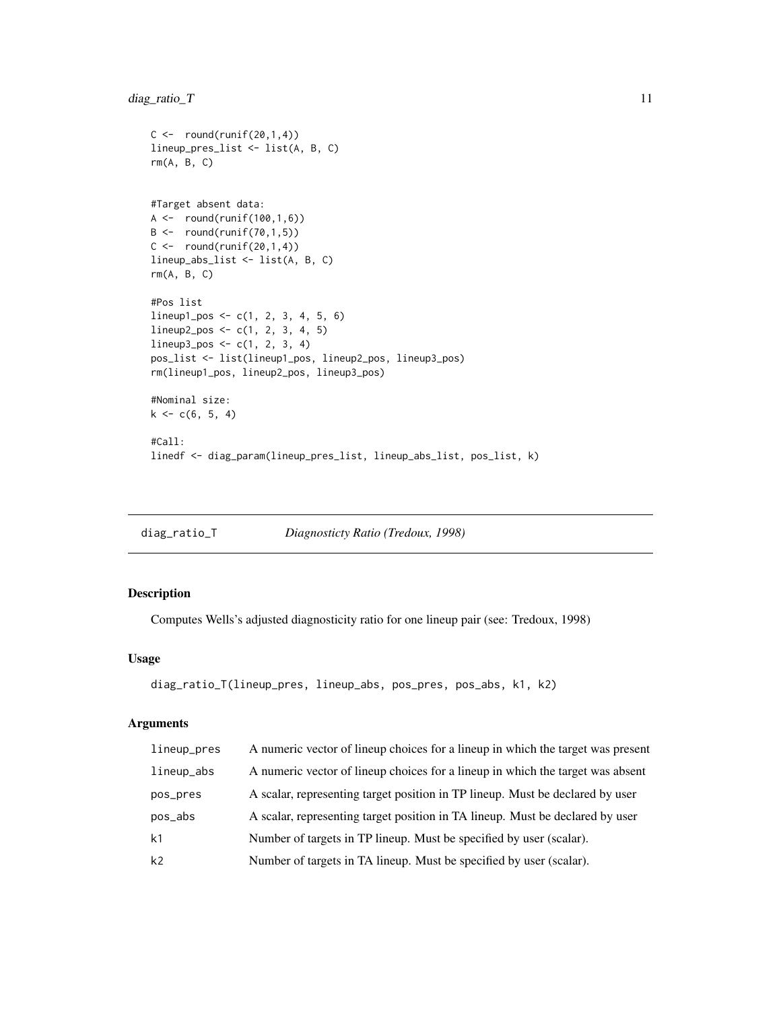# <span id="page-10-0"></span>diag\_ratio\_T 11

```
C \leftarrow \text{round}(\text{runif}(20,1,4))lineup_pres_list <- list(A, B, C)
rm(A, B, C)
#Target absent data:
A \leftarrow round(runif(100,1,6))
B \leftarrow \text{round}(\text{runif}(70, 1, 5))C \leftarrow \text{round}(\text{runif}(20,1,4))lineup_abs_list <- list(A, B, C)
rm(A, B, C)
#Pos list
lineup1_pos <- c(1, 2, 3, 4, 5, 6)
lineup2_pos <- c(1, 2, 3, 4, 5)
lineup3_pos <- c(1, 2, 3, 4)
pos_list <- list(lineup1_pos, lineup2_pos, lineup3_pos)
rm(lineup1_pos, lineup2_pos, lineup3_pos)
#Nominal size:
k \leq c(6, 5, 4)#Call:
linedf <- diag_param(lineup_pres_list, lineup_abs_list, pos_list, k)
```
diag\_ratio\_T *Diagnosticty Ratio (Tredoux, 1998)*

# Description

Computes Wells's adjusted diagnosticity ratio for one lineup pair (see: Tredoux, 1998)

# Usage

```
diag_ratio_T(lineup_pres, lineup_abs, pos_pres, pos_abs, k1, k2)
```
# Arguments

| lineup_pres    | A numeric vector of lineup choices for a lineup in which the target was present |
|----------------|---------------------------------------------------------------------------------|
| lineup_abs     | A numeric vector of lineup choices for a lineup in which the target was absent  |
| pos_pres       | A scalar, representing target position in TP lineup. Must be declared by user   |
| pos_abs        | A scalar, representing target position in TA lineup. Must be declared by user   |
| k <sub>1</sub> | Number of targets in TP lineup. Must be specified by user (scalar).             |
| k <sub>2</sub> | Number of targets in TA lineup. Must be specified by user (scalar).             |
|                |                                                                                 |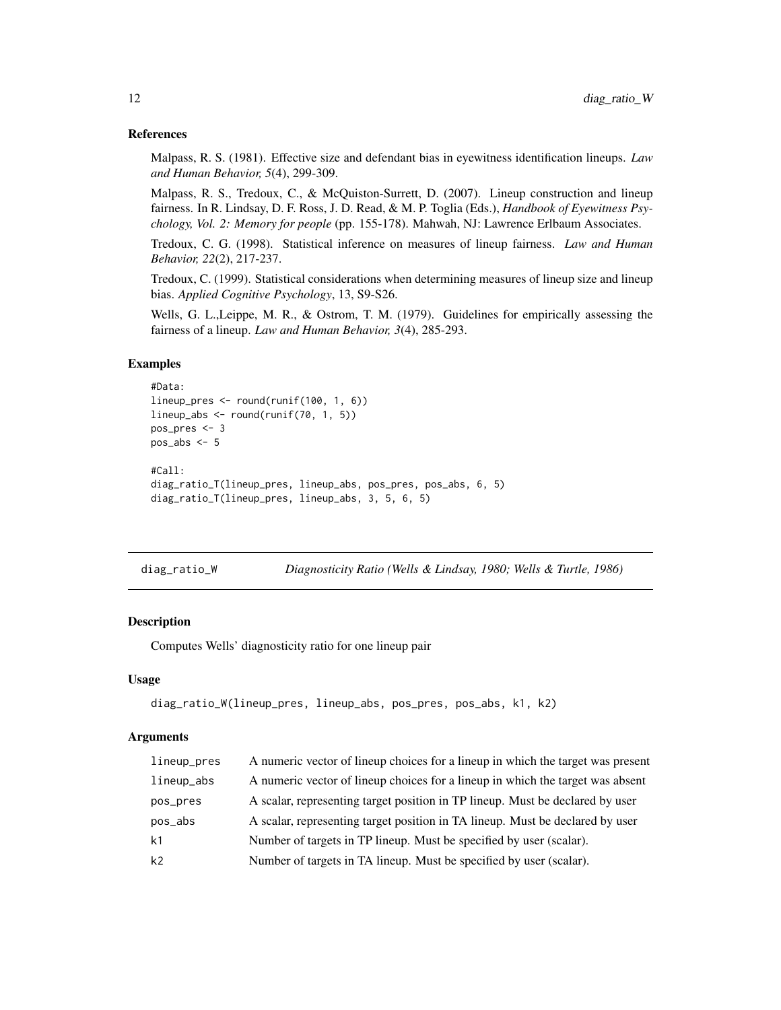#### <span id="page-11-0"></span>References

Malpass, R. S. (1981). Effective size and defendant bias in eyewitness identification lineups. *Law and Human Behavior, 5*(4), 299-309.

Malpass, R. S., Tredoux, C., & McQuiston-Surrett, D. (2007). Lineup construction and lineup fairness. In R. Lindsay, D. F. Ross, J. D. Read, & M. P. Toglia (Eds.), *Handbook of Eyewitness Psychology, Vol. 2: Memory for people* (pp. 155-178). Mahwah, NJ: Lawrence Erlbaum Associates.

Tredoux, C. G. (1998). Statistical inference on measures of lineup fairness. *Law and Human Behavior, 22*(2), 217-237.

Tredoux, C. (1999). Statistical considerations when determining measures of lineup size and lineup bias. *Applied Cognitive Psychology*, 13, S9-S26.

Wells, G. L.,Leippe, M. R., & Ostrom, T. M. (1979). Guidelines for empirically assessing the fairness of a lineup. *Law and Human Behavior, 3*(4), 285-293.

# Examples

```
#Data:
lineup_pres <- round(runif(100, 1, 6))
lineup_abs <- round(runif(70, 1, 5))
pos_pres <- 3
pos_abs <- 5
#Call:
diag_ratio_T(lineup_pres, lineup_abs, pos_pres, pos_abs, 6, 5)
diag_ratio_T(lineup_pres, lineup_abs, 3, 5, 6, 5)
```
diag\_ratio\_W *Diagnosticity Ratio (Wells & Lindsay, 1980; Wells & Turtle, 1986)*

# Description

Computes Wells' diagnosticity ratio for one lineup pair

#### Usage

```
diag_ratio_W(lineup_pres, lineup_abs, pos_pres, pos_abs, k1, k2)
```
# Arguments

| A numeric vector of lineup choices for a lineup in which the target was present |
|---------------------------------------------------------------------------------|
| A numeric vector of lineup choices for a lineup in which the target was absent  |
| A scalar, representing target position in TP lineup. Must be declared by user   |
|                                                                                 |
|                                                                                 |
|                                                                                 |
| A scalar, representing target position in TA lineup. Must be declared by user   |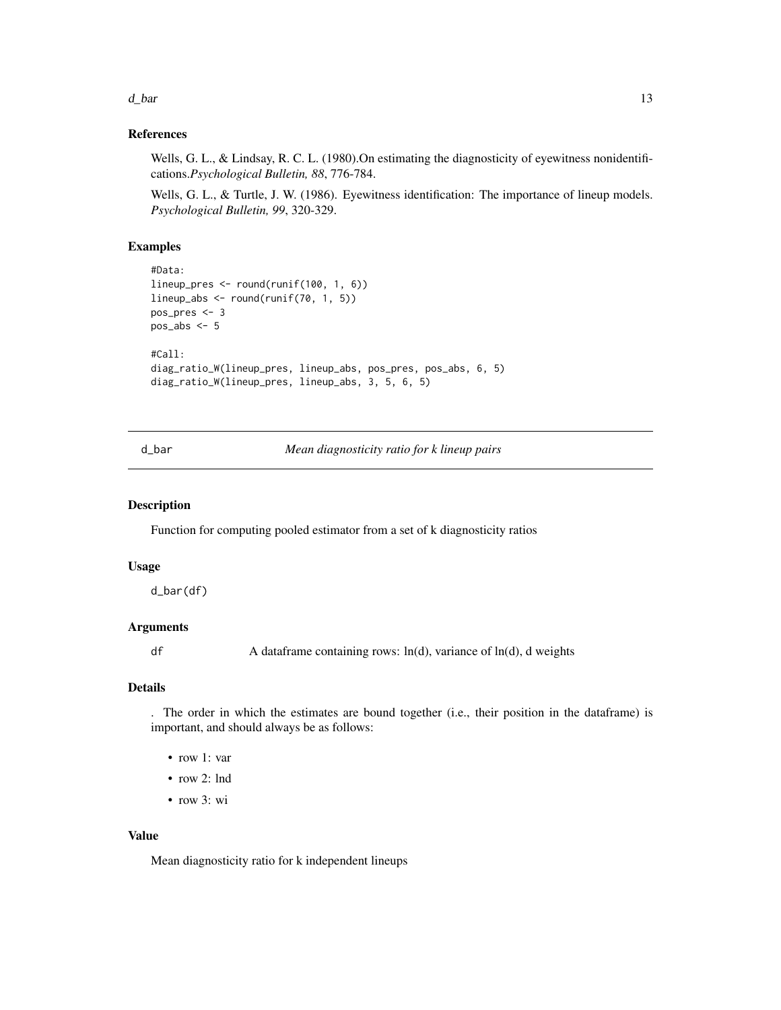<span id="page-12-0"></span> $d_{\text{L}}$ bar 13

# References

Wells, G. L., & Lindsay, R. C. L. (1980). On estimating the diagnosticity of eyewitness nonidentifications.*Psychological Bulletin, 88*, 776-784.

Wells, G. L., & Turtle, J. W. (1986). Eyewitness identification: The importance of lineup models. *Psychological Bulletin, 99*, 320-329.

# Examples

```
#Data:
lineup_pres <- round(runif(100, 1, 6))
lineup_abs <- round(runif(70, 1, 5))
pos_pres <- 3
pos_abs \leftarrow 5#Call:
diag_ratio_W(lineup_pres, lineup_abs, pos_pres, pos_abs, 6, 5)
diag_ratio_W(lineup_pres, lineup_abs, 3, 5, 6, 5)
```
d\_bar *Mean diagnosticity ratio for k lineup pairs*

# Description

Function for computing pooled estimator from a set of k diagnosticity ratios

#### Usage

d\_bar(df)

# Arguments

df A dataframe containing rows: ln(d), variance of ln(d), d weights

# Details

. The order in which the estimates are bound together (i.e., their position in the dataframe) is important, and should always be as follows:

- row 1: var
- row 2: lnd
- row 3: wi

# Value

Mean diagnosticity ratio for k independent lineups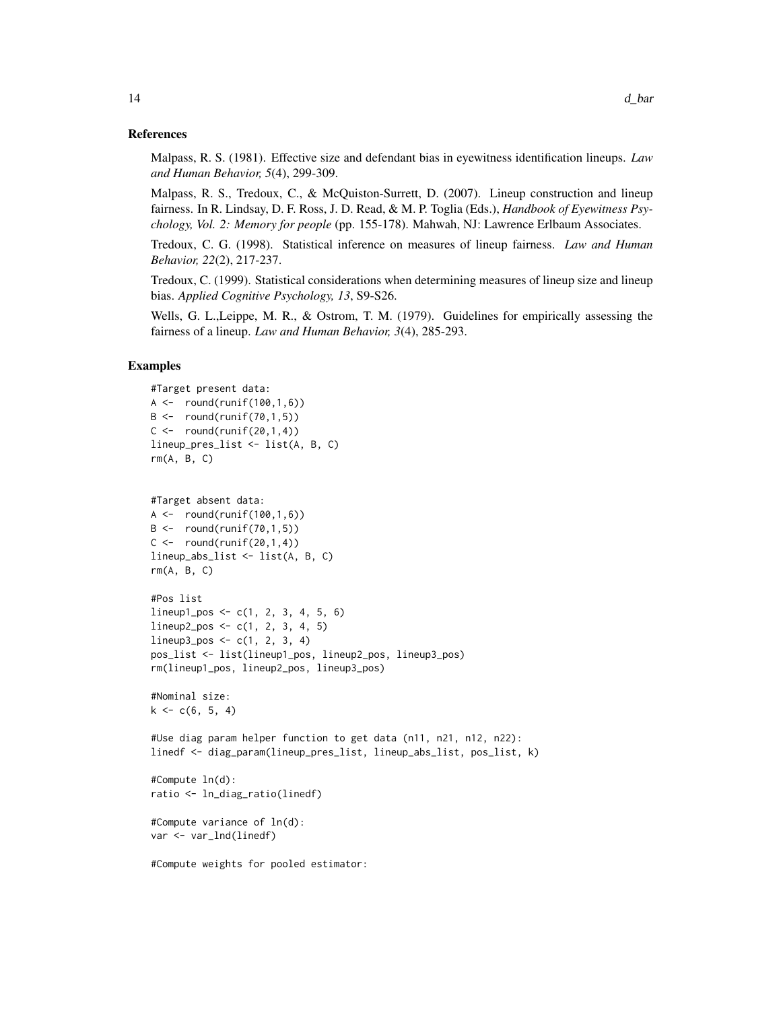# References

Malpass, R. S. (1981). Effective size and defendant bias in eyewitness identification lineups. *Law and Human Behavior, 5*(4), 299-309.

Malpass, R. S., Tredoux, C., & McQuiston-Surrett, D. (2007). Lineup construction and lineup fairness. In R. Lindsay, D. F. Ross, J. D. Read, & M. P. Toglia (Eds.), *Handbook of Eyewitness Psychology, Vol. 2: Memory for people* (pp. 155-178). Mahwah, NJ: Lawrence Erlbaum Associates.

Tredoux, C. G. (1998). Statistical inference on measures of lineup fairness. *Law and Human Behavior, 22*(2), 217-237.

Tredoux, C. (1999). Statistical considerations when determining measures of lineup size and lineup bias. *Applied Cognitive Psychology, 13*, S9-S26.

Wells, G. L.,Leippe, M. R., & Ostrom, T. M. (1979). Guidelines for empirically assessing the fairness of a lineup. *Law and Human Behavior, 3*(4), 285-293.

# Examples

```
#Target present data:
A \leq - round(runif(100,1,6))
B \leftarrow \text{round}(\text{runif}(70, 1, 5))C \leftarrow \text{round}(\text{runif}(20,1,4))lineup_pres_list <- list(A, B, C)
rm(A, B, C)
```

```
#Target absent data:
A \leftarrow \text{round}(\text{runif}(100, 1, 6))B \leftarrow \text{round}(\text{runif}(70, 1, 5))C \le - round(runif(20,1,4))
lineup_abs_list <- list(A, B, C)
rm(A, B, C)
```

```
#Pos list
lineup1_{pos} < -c(1, 2, 3, 4, 5, 6)lineup2_pos <- c(1, 2, 3, 4, 5)
lineup3_pos <- c(1, 2, 3, 4)
pos_list <- list(lineup1_pos, lineup2_pos, lineup3_pos)
rm(lineup1_pos, lineup2_pos, lineup3_pos)
```

```
#Nominal size:
k \leq c(6, 5, 4)
```

```
#Use diag param helper function to get data (n11, n21, n12, n22):
linedf <- diag_param(lineup_pres_list, lineup_abs_list, pos_list, k)
```

```
#Compute ln(d):
ratio <- ln_diag_ratio(linedf)
```

```
#Compute variance of ln(d):
var <- var_lnd(linedf)
```
#Compute weights for pooled estimator: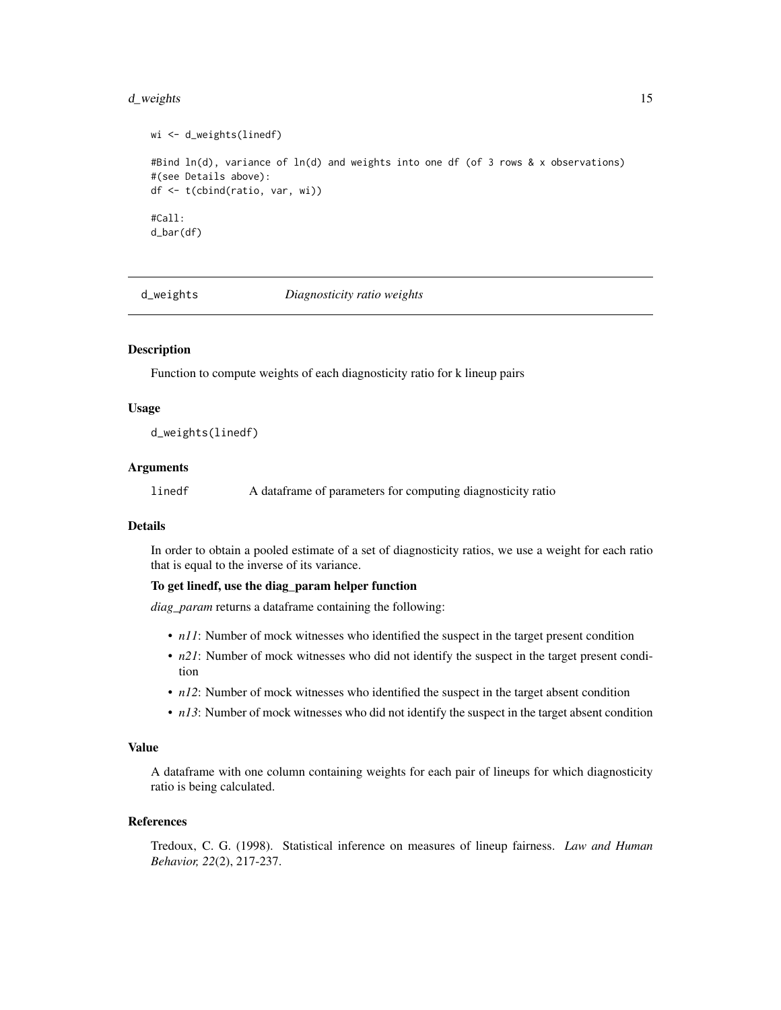#### <span id="page-14-0"></span>d\_weights 15

```
wi <- d_weights(linedf)
#Bind ln(d), variance of ln(d) and weights into one df (of 3 rows & x observations)
#(see Details above):
df <- t(cbind(ratio, var, wi))
#Call:
d_bar(df)
```
d\_weights *Diagnosticity ratio weights*

#### Description

Function to compute weights of each diagnosticity ratio for k lineup pairs

#### Usage

d\_weights(linedf)

# Arguments

linedf A dataframe of parameters for computing diagnosticity ratio

#### Details

In order to obtain a pooled estimate of a set of diagnosticity ratios, we use a weight for each ratio that is equal to the inverse of its variance.

#### To get linedf, use the diag\_param helper function

*diag\_param* returns a dataframe containing the following:

- *n11*: Number of mock witnesses who identified the suspect in the target present condition
- *n21*: Number of mock witnesses who did not identify the suspect in the target present condition
- *n12*: Number of mock witnesses who identified the suspect in the target absent condition
- *n13*: Number of mock witnesses who did not identify the suspect in the target absent condition

#### Value

A dataframe with one column containing weights for each pair of lineups for which diagnosticity ratio is being calculated.

# References

Tredoux, C. G. (1998). Statistical inference on measures of lineup fairness. *Law and Human Behavior, 22*(2), 217-237.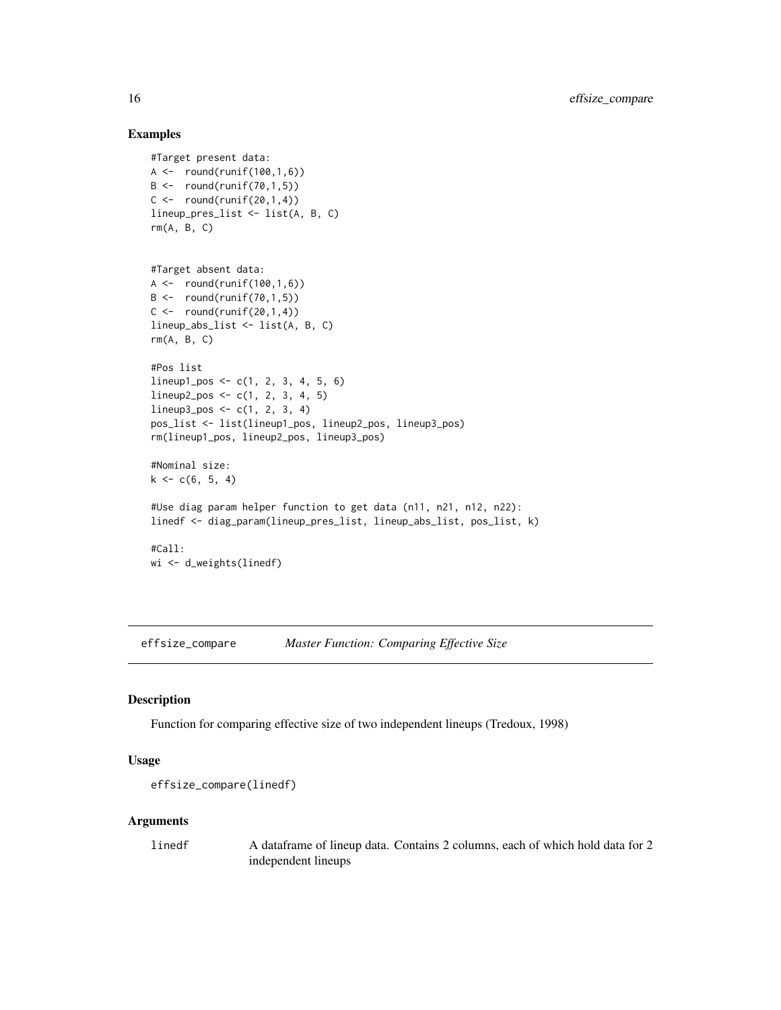#### Examples

```
#Target present data:
A \leftarrow \text{round}(\text{runif}(100, 1, 6))B \leftarrow \text{round}(\text{runif}(70, 1, 5))C \leftarrow \text{round}(\text{runif}(20,1,4))lineup_pres_list <- list(A, B, C)
rm(A, B, C)
```

```
#Target absent data:
A \leftarrow \text{round}(\text{runif}(100, 1, 6))B \leftarrow \text{round}(\text{runif}(70, 1, 5))C \leftarrow \text{round}(\text{runif}(20,1,4))lineup_abs_list <- list(A, B, C)
rm(A, B, C)
```

```
#Pos list
lineup1_pos <- c(1, 2, 3, 4, 5, 6)
lineup2_pos <- c(1, 2, 3, 4, 5)
lineup3_pos <- c(1, 2, 3, 4)
pos_list <- list(lineup1_pos, lineup2_pos, lineup3_pos)
rm(lineup1_pos, lineup2_pos, lineup3_pos)
```

```
#Nominal size:
k \leq c(6, 5, 4)
```

```
#Use diag param helper function to get data (n11, n21, n12, n22):
linedf <- diag_param(lineup_pres_list, lineup_abs_list, pos_list, k)
```

```
#Call:
wi <- d_weights(linedf)
```
effsize\_compare *Master Function: Comparing Effective Size*

#### Description

Function for comparing effective size of two independent lineups (Tredoux, 1998)

#### Usage

```
effsize_compare(linedf)
```
# Arguments

linedf A dataframe of lineup data. Contains 2 columns, each of which hold data for 2 independent lineups

<span id="page-15-0"></span>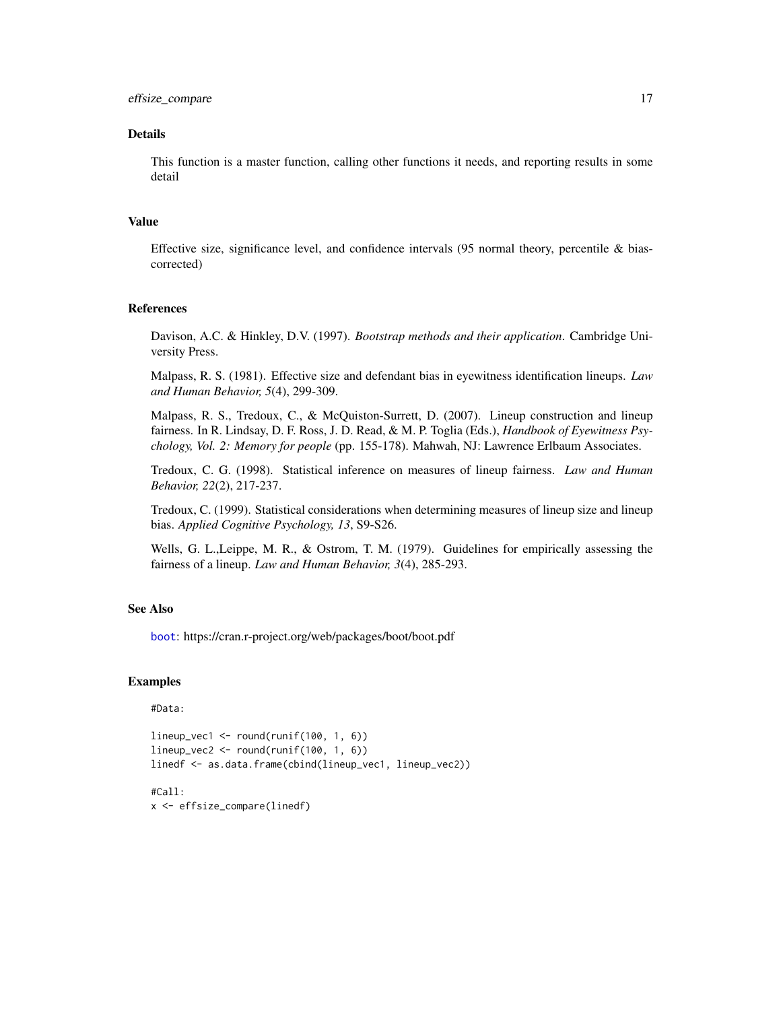#### <span id="page-16-0"></span>Details

This function is a master function, calling other functions it needs, and reporting results in some detail

#### Value

Effective size, significance level, and confidence intervals  $(95$  normal theory, percentile & biascorrected)

# References

Davison, A.C. & Hinkley, D.V. (1997). *Bootstrap methods and their application*. Cambridge University Press.

Malpass, R. S. (1981). Effective size and defendant bias in eyewitness identification lineups. *Law and Human Behavior, 5*(4), 299-309.

Malpass, R. S., Tredoux, C., & McQuiston-Surrett, D. (2007). Lineup construction and lineup fairness. In R. Lindsay, D. F. Ross, J. D. Read, & M. P. Toglia (Eds.), *Handbook of Eyewitness Psychology, Vol. 2: Memory for people* (pp. 155-178). Mahwah, NJ: Lawrence Erlbaum Associates.

Tredoux, C. G. (1998). Statistical inference on measures of lineup fairness. *Law and Human Behavior, 22*(2), 217-237.

Tredoux, C. (1999). Statistical considerations when determining measures of lineup size and lineup bias. *Applied Cognitive Psychology, 13*, S9-S26.

Wells, G. L.,Leippe, M. R., & Ostrom, T. M. (1979). Guidelines for empirically assessing the fairness of a lineup. *Law and Human Behavior, 3*(4), 285-293.

# See Also

[boot](#page-0-0): https://cran.r-project.org/web/packages/boot/boot.pdf

```
#Data:
```

```
lineup\_vec1 \leftarrow round(runif(100, 1, 6))lineup\_vec2 \leftarrow round(runif(100, 1, 6))linedf <- as.data.frame(cbind(lineup_vec1, lineup_vec2))
```

```
#Call:
x <- effsize_compare(linedf)
```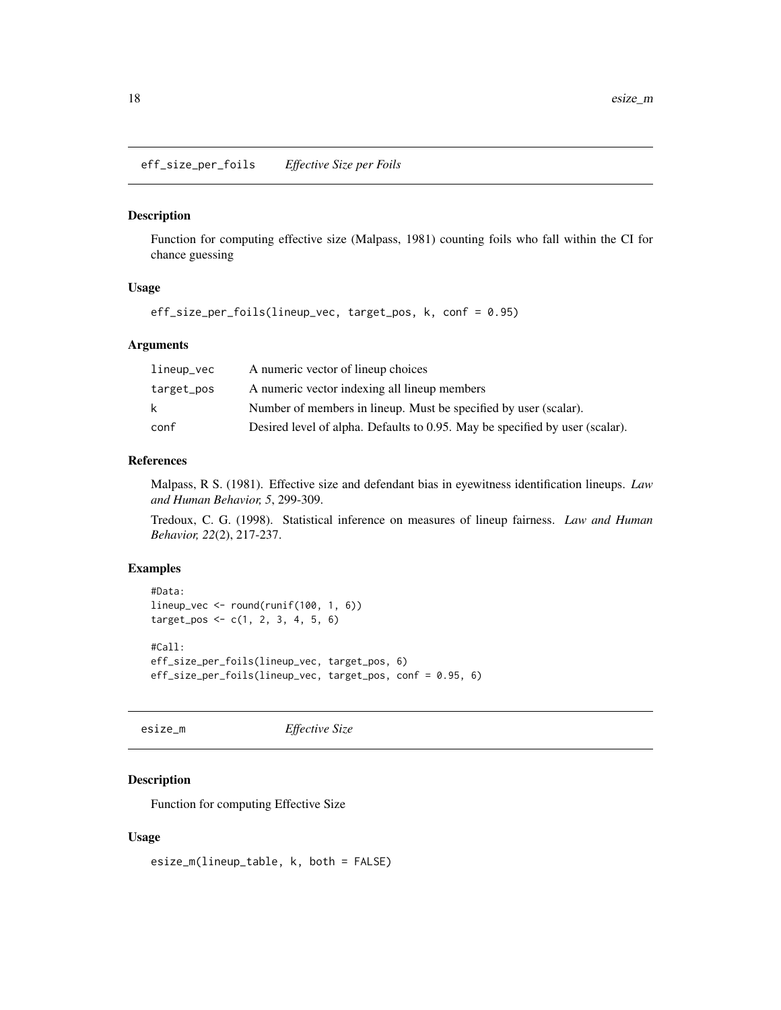<span id="page-17-0"></span>eff\_size\_per\_foils *Effective Size per Foils*

#### Description

Function for computing effective size (Malpass, 1981) counting foils who fall within the CI for chance guessing

# Usage

```
eff_size_per_foils(lineup_vec, target_pos, k, conf = 0.95)
```
# Arguments

| lineup_vec | A numeric vector of lineup choices                                           |
|------------|------------------------------------------------------------------------------|
| target_pos | A numeric vector indexing all lineup members                                 |
| k          | Number of members in lineup. Must be specified by user (scalar).             |
| conf       | Desired level of alpha. Defaults to 0.95. May be specified by user (scalar). |

#### References

Malpass, R S. (1981). Effective size and defendant bias in eyewitness identification lineups. *Law and Human Behavior, 5*, 299-309.

Tredoux, C. G. (1998). Statistical inference on measures of lineup fairness. *Law and Human Behavior, 22*(2), 217-237.

# Examples

```
#Data:
lineup_vec <- round(runif(100, 1, 6))
target_pos <- c(1, 2, 3, 4, 5, 6)
#Call:
eff_size_per_foils(lineup_vec, target_pos, 6)
eff_size_per_foils(lineup_vec, target_pos, conf = 0.95, 6)
```
esize\_m *Effective Size*

# Description

Function for computing Effective Size

#### Usage

esize\_m(lineup\_table, k, both = FALSE)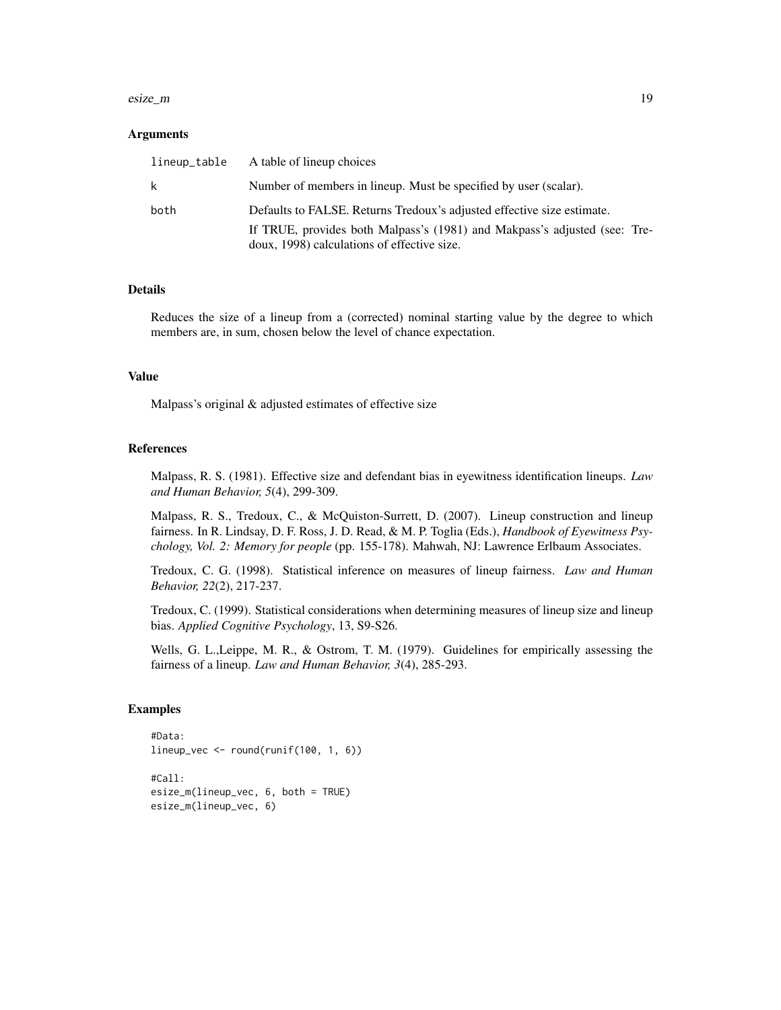#### esize\_m and 19

#### Arguments

| lineup_table | A table of lineup choices                                                                                                |
|--------------|--------------------------------------------------------------------------------------------------------------------------|
| k.           | Number of members in lineup. Must be specified by user (scalar).                                                         |
| both         | Defaults to FALSE. Returns Tredoux's adjusted effective size estimate.                                                   |
|              | If TRUE, provides both Malpass's (1981) and Makpass's adjusted (see: Tre-<br>doux, 1998) calculations of effective size. |

#### Details

Reduces the size of a lineup from a (corrected) nominal starting value by the degree to which members are, in sum, chosen below the level of chance expectation.

#### Value

Malpass's original & adjusted estimates of effective size

# References

Malpass, R. S. (1981). Effective size and defendant bias in eyewitness identification lineups. *Law and Human Behavior, 5*(4), 299-309.

Malpass, R. S., Tredoux, C., & McQuiston-Surrett, D. (2007). Lineup construction and lineup fairness. In R. Lindsay, D. F. Ross, J. D. Read, & M. P. Toglia (Eds.), *Handbook of Eyewitness Psychology, Vol. 2: Memory for people* (pp. 155-178). Mahwah, NJ: Lawrence Erlbaum Associates.

Tredoux, C. G. (1998). Statistical inference on measures of lineup fairness. *Law and Human Behavior, 22*(2), 217-237.

Tredoux, C. (1999). Statistical considerations when determining measures of lineup size and lineup bias. *Applied Cognitive Psychology*, 13, S9-S26.

Wells, G. L.,Leippe, M. R., & Ostrom, T. M. (1979). Guidelines for empirically assessing the fairness of a lineup. *Law and Human Behavior, 3*(4), 285-293.

```
#Data:
lineup_vec <- round(runif(100, 1, 6))
#Call:
esize_m(lineup_vec, 6, both = TRUE)
esize_m(lineup_vec, 6)
```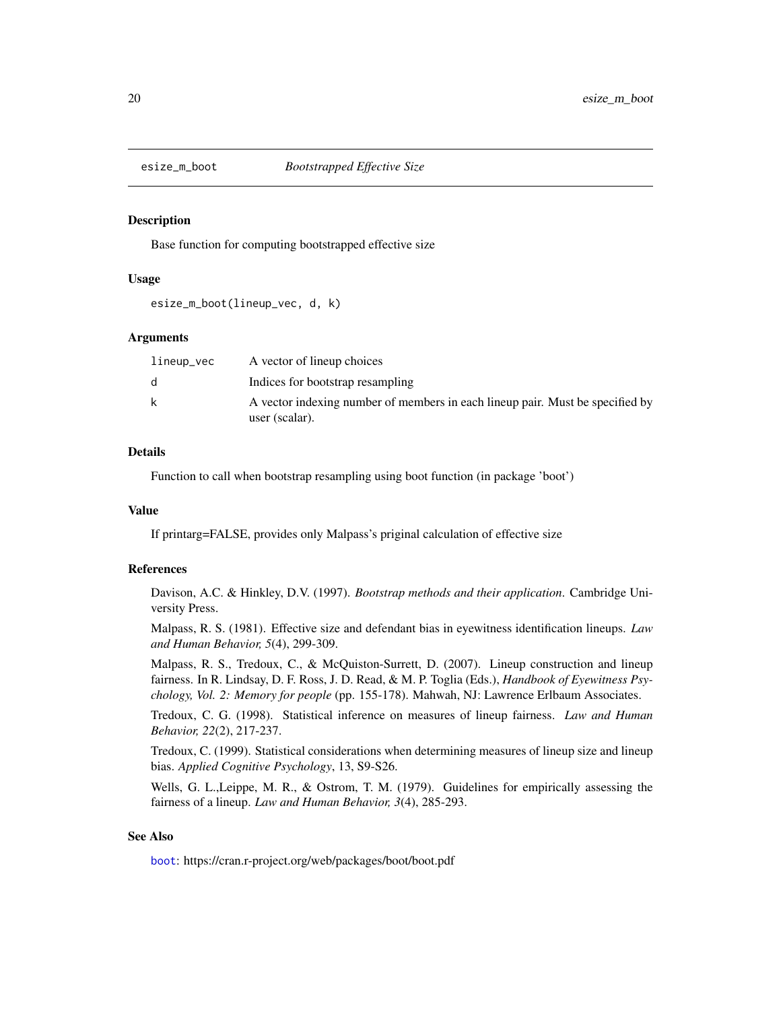<span id="page-19-0"></span>

# **Description**

Base function for computing bootstrapped effective size

# Usage

esize\_m\_boot(lineup\_vec, d, k)

# Arguments

| lineup_vec | A vector of lineup choices                                                    |
|------------|-------------------------------------------------------------------------------|
| d.         | Indices for bootstrap resampling                                              |
| k          | A vector indexing number of members in each lineup pair. Must be specified by |
|            | user (scalar).                                                                |

# Details

Function to call when bootstrap resampling using boot function (in package 'boot')

# Value

If printarg=FALSE, provides only Malpass's priginal calculation of effective size

#### References

Davison, A.C. & Hinkley, D.V. (1997). *Bootstrap methods and their application*. Cambridge University Press.

Malpass, R. S. (1981). Effective size and defendant bias in eyewitness identification lineups. *Law and Human Behavior, 5*(4), 299-309.

Malpass, R. S., Tredoux, C., & McQuiston-Surrett, D. (2007). Lineup construction and lineup fairness. In R. Lindsay, D. F. Ross, J. D. Read, & M. P. Toglia (Eds.), *Handbook of Eyewitness Psychology, Vol. 2: Memory for people* (pp. 155-178). Mahwah, NJ: Lawrence Erlbaum Associates.

Tredoux, C. G. (1998). Statistical inference on measures of lineup fairness. *Law and Human Behavior, 22*(2), 217-237.

Tredoux, C. (1999). Statistical considerations when determining measures of lineup size and lineup bias. *Applied Cognitive Psychology*, 13, S9-S26.

Wells, G. L.,Leippe, M. R., & Ostrom, T. M. (1979). Guidelines for empirically assessing the fairness of a lineup. *Law and Human Behavior, 3*(4), 285-293.

# See Also

[boot](#page-0-0): https://cran.r-project.org/web/packages/boot/boot.pdf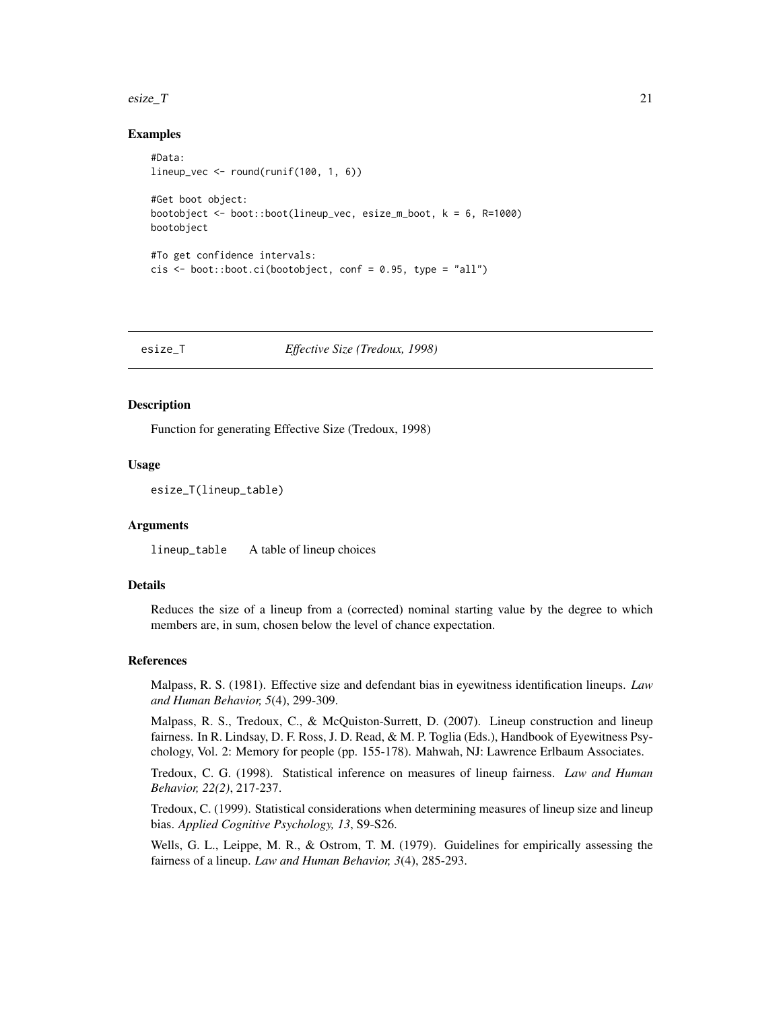#### <span id="page-20-0"></span>esize\_T  $21$

# Examples

```
#Data:
lineup_vec \le round(runif(100, 1, 6))
#Get boot object:
bootobject <- boot::boot(lineup_vec, esize_m_boot, k = 6, R=1000)
bootobject
#To get confidence intervals:
cis \le - boot::boot.ci(bootobject, conf = 0.95, type = "all")
```
esize\_T *Effective Size (Tredoux, 1998)*

#### Description

Function for generating Effective Size (Tredoux, 1998)

#### Usage

esize\_T(lineup\_table)

#### Arguments

lineup\_table A table of lineup choices

# Details

Reduces the size of a lineup from a (corrected) nominal starting value by the degree to which members are, in sum, chosen below the level of chance expectation.

# References

Malpass, R. S. (1981). Effective size and defendant bias in eyewitness identification lineups. *Law and Human Behavior, 5*(4), 299-309.

Malpass, R. S., Tredoux, C., & McQuiston-Surrett, D. (2007). Lineup construction and lineup fairness. In R. Lindsay, D. F. Ross, J. D. Read, & M. P. Toglia (Eds.), Handbook of Eyewitness Psychology, Vol. 2: Memory for people (pp. 155-178). Mahwah, NJ: Lawrence Erlbaum Associates.

Tredoux, C. G. (1998). Statistical inference on measures of lineup fairness. *Law and Human Behavior, 22(2)*, 217-237.

Tredoux, C. (1999). Statistical considerations when determining measures of lineup size and lineup bias. *Applied Cognitive Psychology, 13*, S9-S26.

Wells, G. L., Leippe, M. R., & Ostrom, T. M. (1979). Guidelines for empirically assessing the fairness of a lineup. *Law and Human Behavior, 3*(4), 285-293.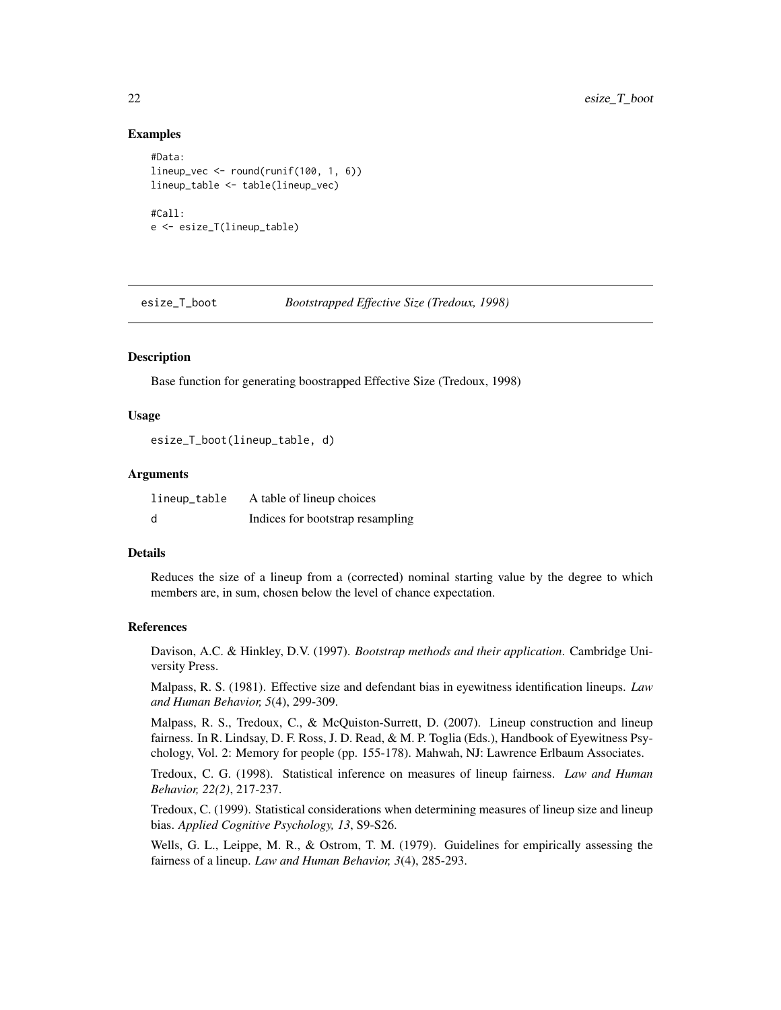# Examples

```
#Data:
lineup_vec \le round(runif(100, 1, 6))
lineup_table <- table(lineup_vec)
#Call:
e <- esize_T(lineup_table)
```
esize\_T\_boot *Bootstrapped Effective Size (Tredoux, 1998)*

# Description

Base function for generating boostrapped Effective Size (Tredoux, 1998)

#### Usage

esize\_T\_boot(lineup\_table, d)

#### Arguments

| lineup_table | A table of lineup choices        |
|--------------|----------------------------------|
| - d          | Indices for bootstrap resampling |

# Details

Reduces the size of a lineup from a (corrected) nominal starting value by the degree to which members are, in sum, chosen below the level of chance expectation.

# References

Davison, A.C. & Hinkley, D.V. (1997). *Bootstrap methods and their application*. Cambridge University Press.

Malpass, R. S. (1981). Effective size and defendant bias in eyewitness identification lineups. *Law and Human Behavior, 5*(4), 299-309.

Malpass, R. S., Tredoux, C., & McQuiston-Surrett, D. (2007). Lineup construction and lineup fairness. In R. Lindsay, D. F. Ross, J. D. Read, & M. P. Toglia (Eds.), Handbook of Eyewitness Psychology, Vol. 2: Memory for people (pp. 155-178). Mahwah, NJ: Lawrence Erlbaum Associates.

Tredoux, C. G. (1998). Statistical inference on measures of lineup fairness. *Law and Human Behavior, 22(2)*, 217-237.

Tredoux, C. (1999). Statistical considerations when determining measures of lineup size and lineup bias. *Applied Cognitive Psychology, 13*, S9-S26.

Wells, G. L., Leippe, M. R., & Ostrom, T. M. (1979). Guidelines for empirically assessing the fairness of a lineup. *Law and Human Behavior, 3*(4), 285-293.

<span id="page-21-0"></span>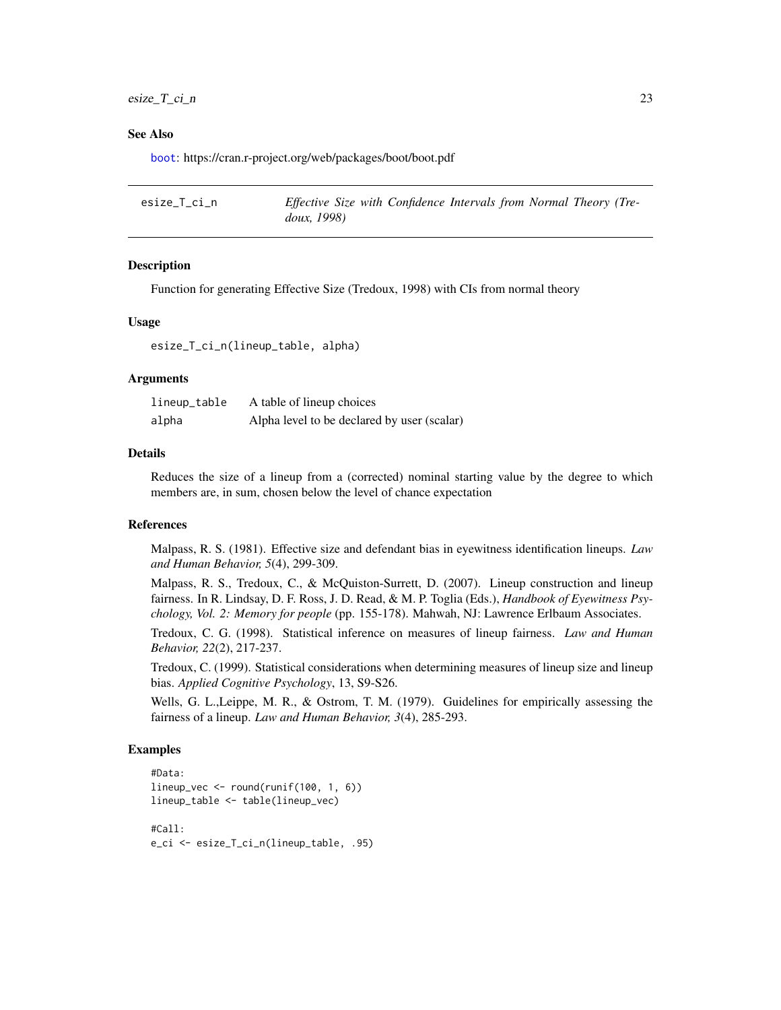# <span id="page-22-0"></span> $\text{e} \cdot \text{e} = T_c \cdot \text{e}$  23

#### See Also

[boot](#page-0-0): https://cran.r-project.org/web/packages/boot/boot.pdf

| esize_T_ci_n | Effective Size with Confidence Intervals from Normal Theory (Tre- |  |
|--------------|-------------------------------------------------------------------|--|
|              | doux, 1998)                                                       |  |

### Description

Function for generating Effective Size (Tredoux, 1998) with CIs from normal theory

## Usage

esize\_T\_ci\_n(lineup\_table, alpha)

# Arguments

| lineup_table | A table of lineup choices                   |
|--------------|---------------------------------------------|
| alpha        | Alpha level to be declared by user (scalar) |

#### Details

Reduces the size of a lineup from a (corrected) nominal starting value by the degree to which members are, in sum, chosen below the level of chance expectation

#### References

Malpass, R. S. (1981). Effective size and defendant bias in eyewitness identification lineups. *Law and Human Behavior, 5*(4), 299-309.

Malpass, R. S., Tredoux, C., & McQuiston-Surrett, D. (2007). Lineup construction and lineup fairness. In R. Lindsay, D. F. Ross, J. D. Read, & M. P. Toglia (Eds.), *Handbook of Eyewitness Psychology, Vol. 2: Memory for people* (pp. 155-178). Mahwah, NJ: Lawrence Erlbaum Associates.

Tredoux, C. G. (1998). Statistical inference on measures of lineup fairness. *Law and Human Behavior, 22*(2), 217-237.

Tredoux, C. (1999). Statistical considerations when determining measures of lineup size and lineup bias. *Applied Cognitive Psychology*, 13, S9-S26.

Wells, G. L.,Leippe, M. R., & Ostrom, T. M. (1979). Guidelines for empirically assessing the fairness of a lineup. *Law and Human Behavior, 3*(4), 285-293.

```
#Data:
lineup\_vec < -round(runif(100, 1, 6))lineup_table <- table(lineup_vec)
\text{\texttt{#Call}}e_ci <- esize_T_ci_n(lineup_table, .95)
```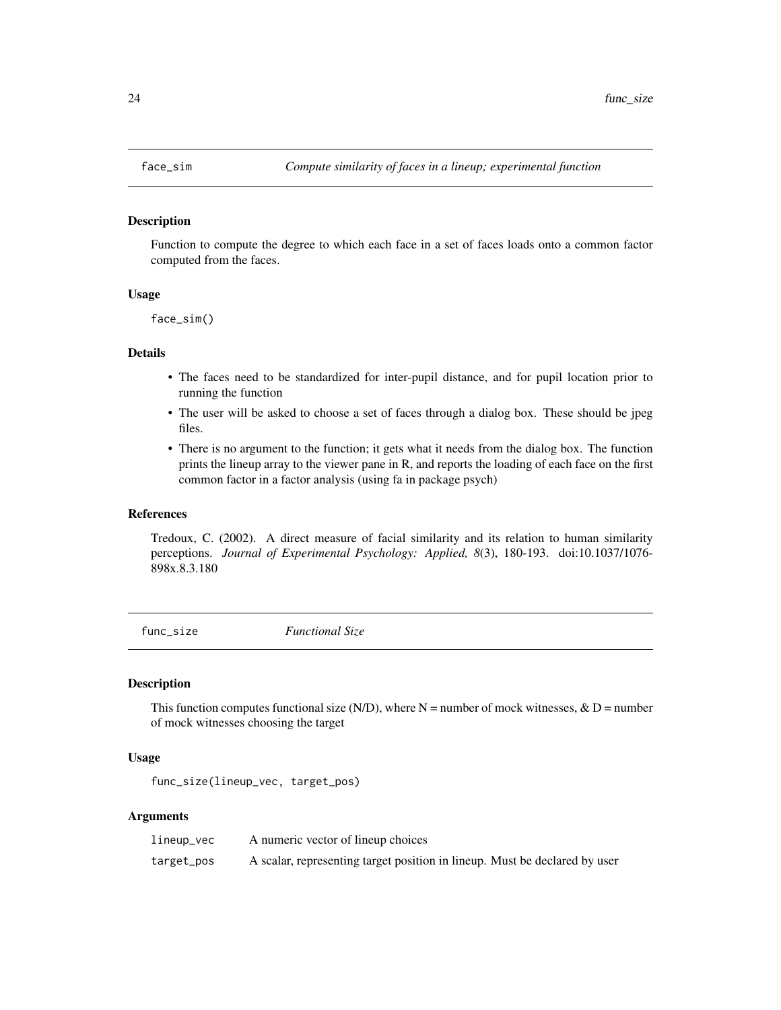<span id="page-23-0"></span>

#### Description

Function to compute the degree to which each face in a set of faces loads onto a common factor computed from the faces.

# Usage

face\_sim()

#### Details

- The faces need to be standardized for inter-pupil distance, and for pupil location prior to running the function
- The user will be asked to choose a set of faces through a dialog box. These should be jpeg files.
- There is no argument to the function; it gets what it needs from the dialog box. The function prints the lineup array to the viewer pane in R, and reports the loading of each face on the first common factor in a factor analysis (using fa in package psych)

#### References

Tredoux, C. (2002). A direct measure of facial similarity and its relation to human similarity perceptions. *Journal of Experimental Psychology: Applied, 8*(3), 180-193. doi:10.1037/1076- 898x.8.3.180

func\_size *Functional Size*

#### Description

This function computes functional size (N/D), where  $N =$  number of mock witnesses,  $\& D =$  number of mock witnesses choosing the target

# Usage

func\_size(lineup\_vec, target\_pos)

#### Arguments

| lineup_vec | A numeric vector of lineup choices                                         |
|------------|----------------------------------------------------------------------------|
| target_pos | A scalar, representing target position in lineup. Must be declared by user |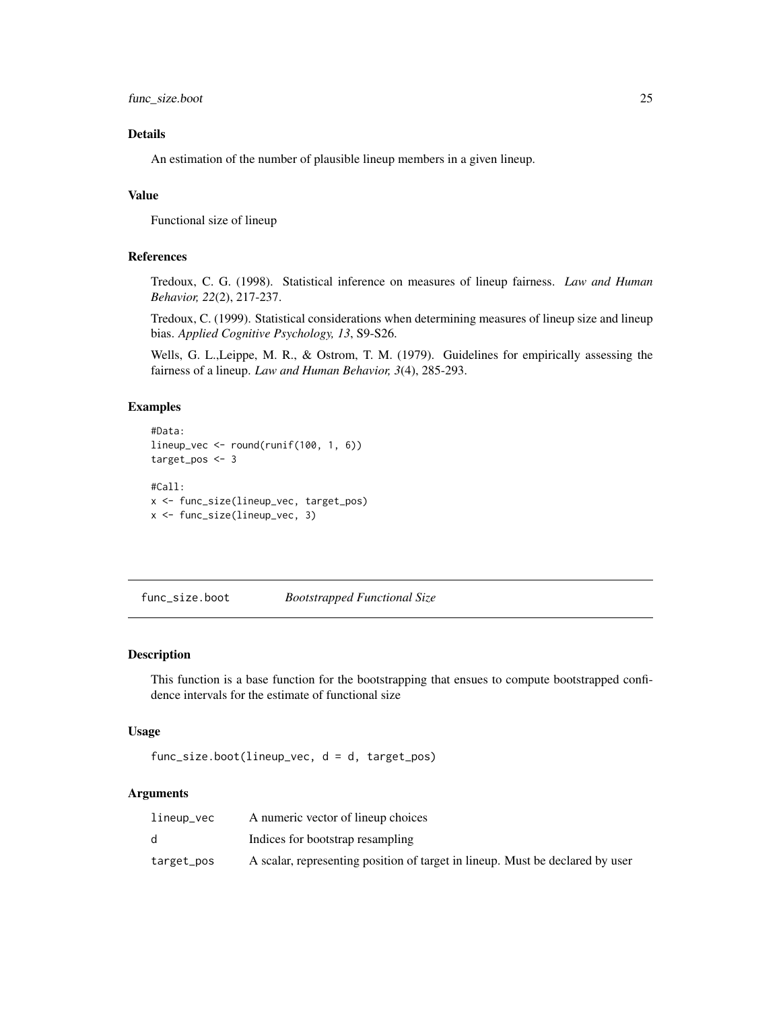<span id="page-24-0"></span>func\_size.boot 25

# Details

An estimation of the number of plausible lineup members in a given lineup.

# Value

Functional size of lineup

# References

Tredoux, C. G. (1998). Statistical inference on measures of lineup fairness. *Law and Human Behavior, 22*(2), 217-237.

Tredoux, C. (1999). Statistical considerations when determining measures of lineup size and lineup bias. *Applied Cognitive Psychology, 13*, S9-S26.

Wells, G. L.,Leippe, M. R., & Ostrom, T. M. (1979). Guidelines for empirically assessing the fairness of a lineup. *Law and Human Behavior, 3*(4), 285-293.

#### Examples

```
#Data:
lineup_vec <- round(runif(100, 1, 6))
target_pos <- 3
#Call:
x <- func_size(lineup_vec, target_pos)
x <- func_size(lineup_vec, 3)
```
func\_size.boot *Bootstrapped Functional Size*

# Description

This function is a base function for the bootstrapping that ensues to compute bootstrapped confidence intervals for the estimate of functional size

# Usage

```
func_size.boot(lineup_vec, d = d, target_pos)
```
#### Arguments

| lineup_vec | A numeric vector of lineup choices                                            |
|------------|-------------------------------------------------------------------------------|
|            | Indices for bootstrap resampling                                              |
| target_pos | A scalar, representing position of target in lineup. Must be declared by user |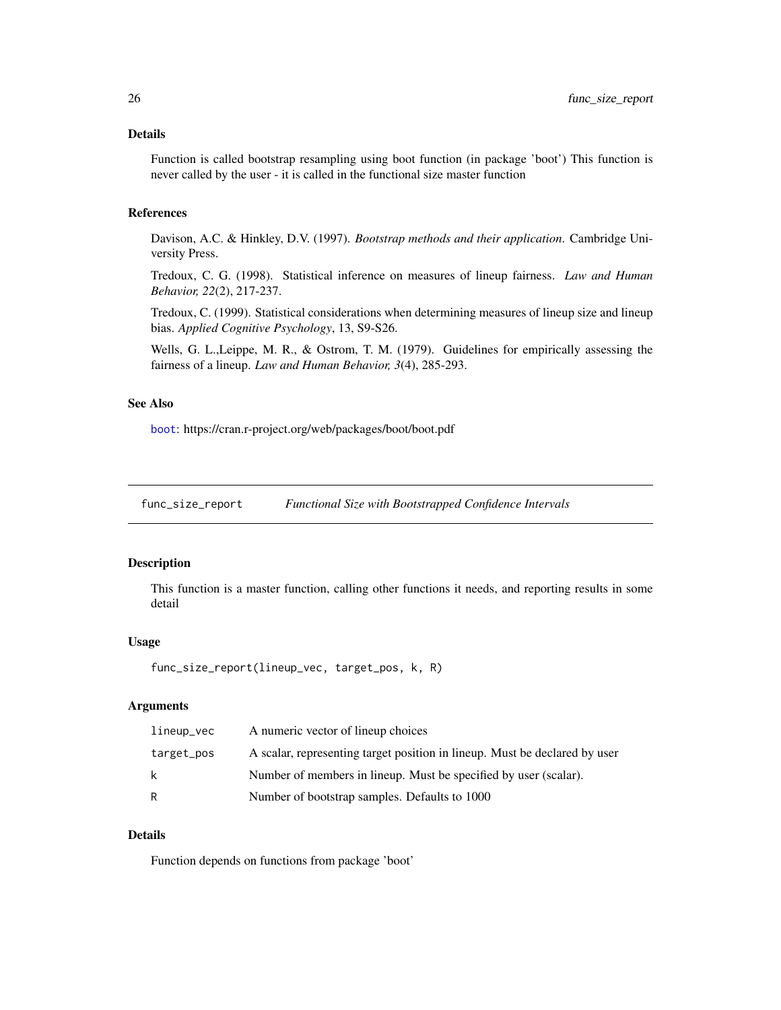# <span id="page-25-0"></span>Details

Function is called bootstrap resampling using boot function (in package 'boot') This function is never called by the user - it is called in the functional size master function

# References

Davison, A.C. & Hinkley, D.V. (1997). *Bootstrap methods and their application*. Cambridge University Press.

Tredoux, C. G. (1998). Statistical inference on measures of lineup fairness. *Law and Human Behavior, 22*(2), 217-237.

Tredoux, C. (1999). Statistical considerations when determining measures of lineup size and lineup bias. *Applied Cognitive Psychology*, 13, S9-S26.

Wells, G. L.,Leippe, M. R., & Ostrom, T. M. (1979). Guidelines for empirically assessing the fairness of a lineup. *Law and Human Behavior, 3*(4), 285-293.

#### See Also

[boot](#page-0-0): https://cran.r-project.org/web/packages/boot/boot.pdf

func\_size\_report *Functional Size with Bootstrapped Confidence Intervals*

#### Description

This function is a master function, calling other functions it needs, and reporting results in some detail

#### Usage

```
func_size_report(lineup_vec, target_pos, k, R)
```
# Arguments

| lineup_vec | A numeric vector of lineup choices                                         |
|------------|----------------------------------------------------------------------------|
| target_pos | A scalar, representing target position in lineup. Must be declared by user |
| -k         | Number of members in lineup. Must be specified by user (scalar).           |
| R          | Number of bootstrap samples. Defaults to 1000                              |

# Details

Function depends on functions from package 'boot'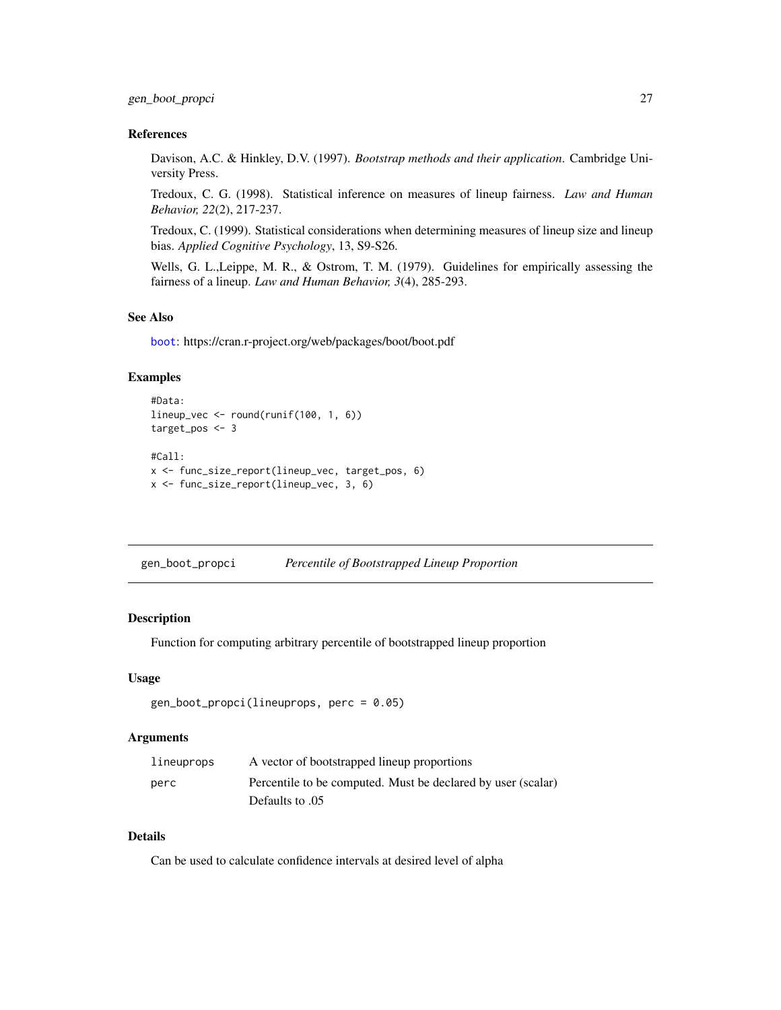# <span id="page-26-0"></span>References

Davison, A.C. & Hinkley, D.V. (1997). *Bootstrap methods and their application*. Cambridge University Press.

Tredoux, C. G. (1998). Statistical inference on measures of lineup fairness. *Law and Human Behavior, 22*(2), 217-237.

Tredoux, C. (1999). Statistical considerations when determining measures of lineup size and lineup bias. *Applied Cognitive Psychology*, 13, S9-S26.

Wells, G. L.,Leippe, M. R., & Ostrom, T. M. (1979). Guidelines for empirically assessing the fairness of a lineup. *Law and Human Behavior, 3*(4), 285-293.

# See Also

[boot](#page-0-0): https://cran.r-project.org/web/packages/boot/boot.pdf

# Examples

```
#Data:
lineup_vec <- round(runif(100, 1, 6))
target_pos <- 3
#Call:
x <- func_size_report(lineup_vec, target_pos, 6)
x <- func_size_report(lineup_vec, 3, 6)
```
gen\_boot\_propci *Percentile of Bootstrapped Lineup Proportion*

#### **Description**

Function for computing arbitrary percentile of bootstrapped lineup proportion

#### Usage

```
gen\_boot\_propci(lineuprops, perc = 0.05)
```
# **Arguments**

| lineuprops | A vector of bootstrapped lineup proportions                  |
|------------|--------------------------------------------------------------|
| perc       | Percentile to be computed. Must be declared by user (scalar) |
|            | 05. Defaults to                                              |

# Details

Can be used to calculate confidence intervals at desired level of alpha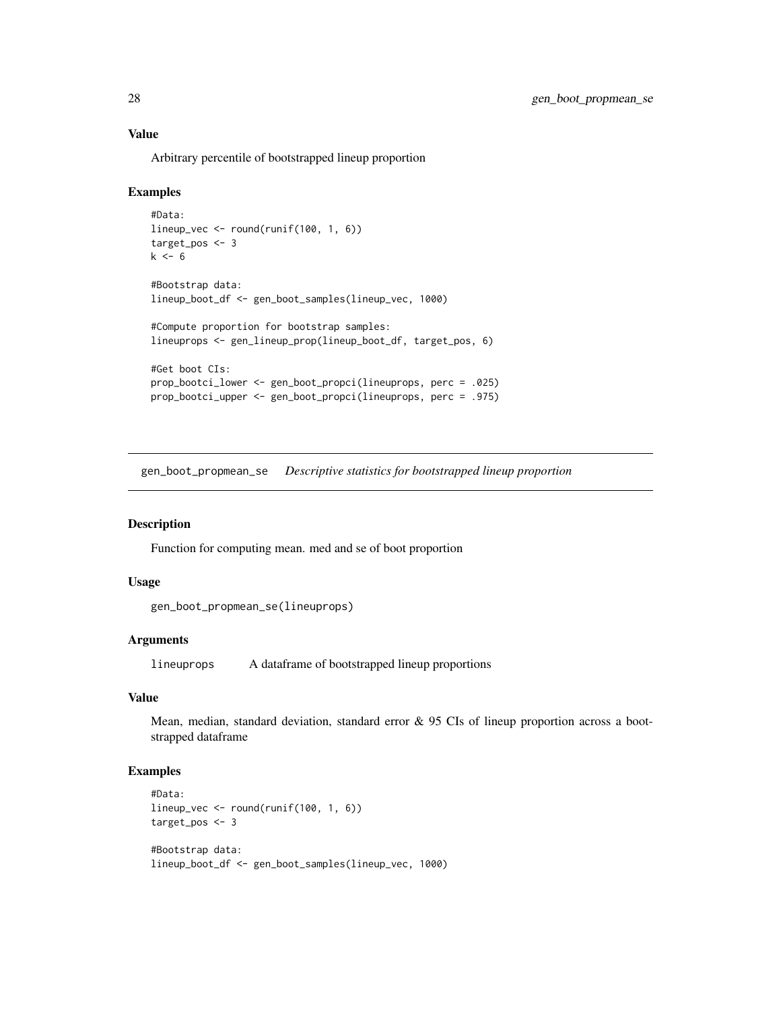# Value

Arbitrary percentile of bootstrapped lineup proportion

## Examples

```
#Data:
lineup_vec <- round(runif(100, 1, 6))
target_pos <- 3
k \leq -6#Bootstrap data:
lineup_boot_df <- gen_boot_samples(lineup_vec, 1000)
#Compute proportion for bootstrap samples:
lineuprops <- gen_lineup_prop(lineup_boot_df, target_pos, 6)
#Get boot CIs:
prop_bootci_lower <- gen_boot_propci(lineuprops, perc = .025)
prop_bootci_upper <- gen_boot_propci(lineuprops, perc = .975)
```
gen\_boot\_propmean\_se *Descriptive statistics for bootstrapped lineup proportion*

#### Description

Function for computing mean. med and se of boot proportion

#### Usage

```
gen_boot_propmean_se(lineuprops)
```
# **Arguments**

lineuprops A dataframe of bootstrapped lineup proportions

# Value

Mean, median, standard deviation, standard error & 95 CIs of lineup proportion across a bootstrapped dataframe

```
#Data:
lineup_vec <- round(runif(100, 1, 6))
target_pos <- 3
#Bootstrap data:
lineup_boot_df <- gen_boot_samples(lineup_vec, 1000)
```
<span id="page-27-0"></span>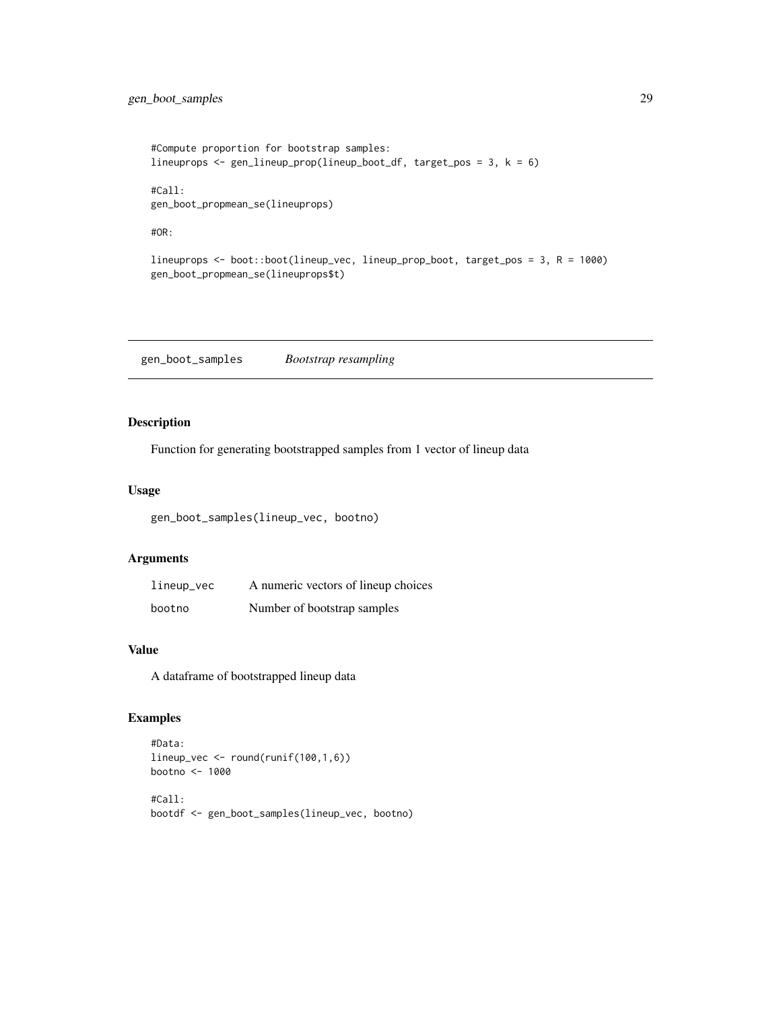```
#Compute proportion for bootstrap samples:
lineuprops <- gen_lineup_prop(lineup_boot_df, target_pos = 3, k = 6)
#Call:
gen_boot_propmean_se(lineuprops)
#OR:
lineuprops <- boot::boot(lineup_vec, lineup_prop_boot, target_pos = 3, R = 1000)
gen_boot_propmean_se(lineuprops$t)
```
gen\_boot\_samples *Bootstrap resampling*

# Description

Function for generating bootstrapped samples from 1 vector of lineup data

# Usage

gen\_boot\_samples(lineup\_vec, bootno)

### Arguments

| lineup_vec | A numeric vectors of lineup choices |
|------------|-------------------------------------|
| bootno     | Number of bootstrap samples         |

# Value

A dataframe of bootstrapped lineup data

```
#Data:
lineup_vec <- round(runif(100,1,6))
bootno <- 1000
#Call:
bootdf <- gen_boot_samples(lineup_vec, bootno)
```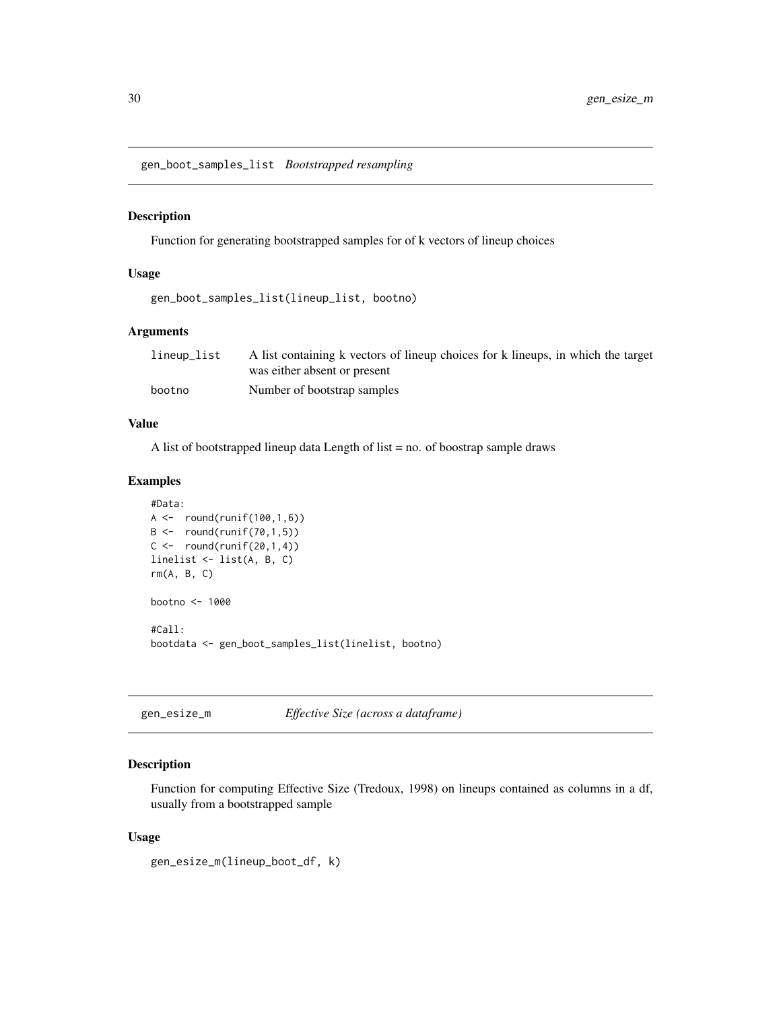<span id="page-29-0"></span>gen\_boot\_samples\_list *Bootstrapped resampling*

# Description

Function for generating bootstrapped samples for of k vectors of lineup choices

# Usage

gen\_boot\_samples\_list(lineup\_list, bootno)

# Arguments

| lineup_list | A list containing k vectors of lineup choices for k lineups, in which the target |
|-------------|----------------------------------------------------------------------------------|
|             | was either absent or present                                                     |
| bootno      | Number of bootstrap samples                                                      |

# Value

A list of bootstrapped lineup data Length of list = no. of boostrap sample draws

# Examples

```
#Data:
A \leftarrow round(runif(100,1,6))
B \leftarrow \text{round}(\text{runif}(70, 1, 5))C \leftarrow \text{round}(\text{runif}(20,1,4))linelist <- list(A, B, C)
rm(A, B, C)
bootno <- 1000
#Call:
bootdata <- gen_boot_samples_list(linelist, bootno)
```
gen\_esize\_m *Effective Size (across a dataframe)*

# Description

Function for computing Effective Size (Tredoux, 1998) on lineups contained as columns in a df, usually from a bootstrapped sample

#### Usage

gen\_esize\_m(lineup\_boot\_df, k)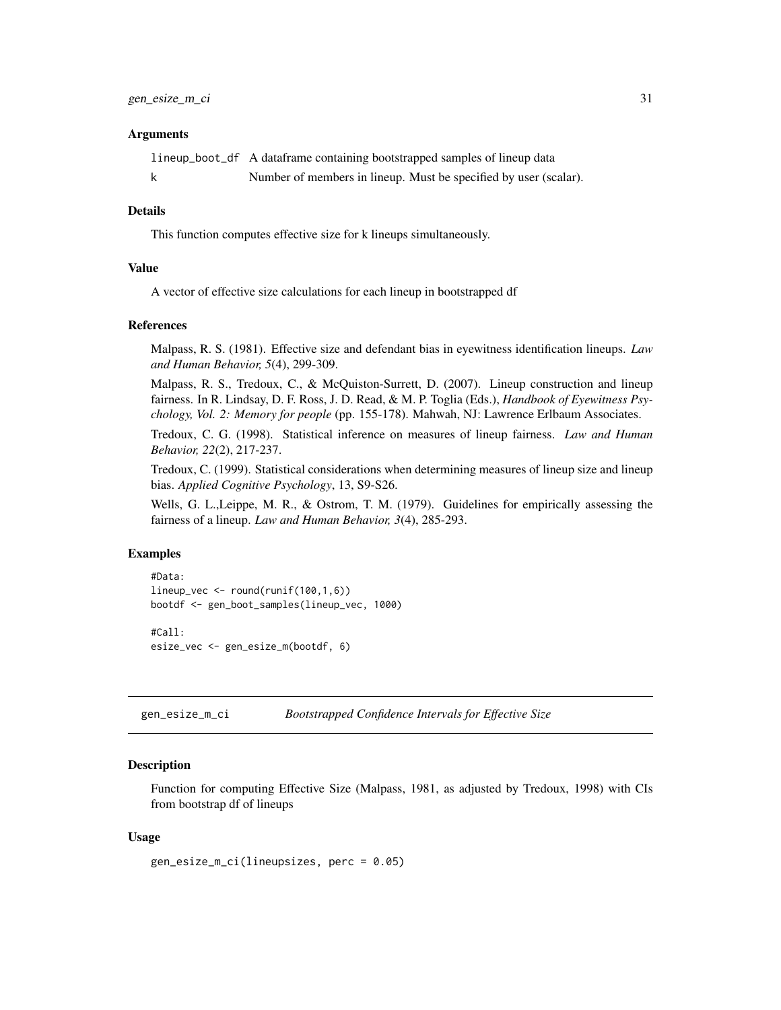#### <span id="page-30-0"></span>**Arguments**

| lineup_boot_df A dataframe containing bootstrapped samples of lineup data |
|---------------------------------------------------------------------------|
| Number of members in lineup. Must be specified by user (scalar).          |

#### Details

This function computes effective size for k lineups simultaneously.

# Value

A vector of effective size calculations for each lineup in bootstrapped df

#### References

Malpass, R. S. (1981). Effective size and defendant bias in eyewitness identification lineups. *Law and Human Behavior, 5*(4), 299-309.

Malpass, R. S., Tredoux, C., & McQuiston-Surrett, D. (2007). Lineup construction and lineup fairness. In R. Lindsay, D. F. Ross, J. D. Read, & M. P. Toglia (Eds.), *Handbook of Eyewitness Psychology, Vol. 2: Memory for people* (pp. 155-178). Mahwah, NJ: Lawrence Erlbaum Associates.

Tredoux, C. G. (1998). Statistical inference on measures of lineup fairness. *Law and Human Behavior, 22*(2), 217-237.

Tredoux, C. (1999). Statistical considerations when determining measures of lineup size and lineup bias. *Applied Cognitive Psychology*, 13, S9-S26.

Wells, G. L.,Leippe, M. R., & Ostrom, T. M. (1979). Guidelines for empirically assessing the fairness of a lineup. *Law and Human Behavior, 3*(4), 285-293.

#### Examples

```
#Data:
lineup_vec <- round(runif(100,1,6))
bootdf <- gen_boot_samples(lineup_vec, 1000)
#Call:
```
esize\_vec <- gen\_esize\_m(bootdf, 6)

gen\_esize\_m\_ci *Bootstrapped Confidence Intervals for Effective Size*

# Description

Function for computing Effective Size (Malpass, 1981, as adjusted by Tredoux, 1998) with CIs from bootstrap df of lineups

#### Usage

```
gen_esize_m_ci(lineupsizes, perc = 0.05)
```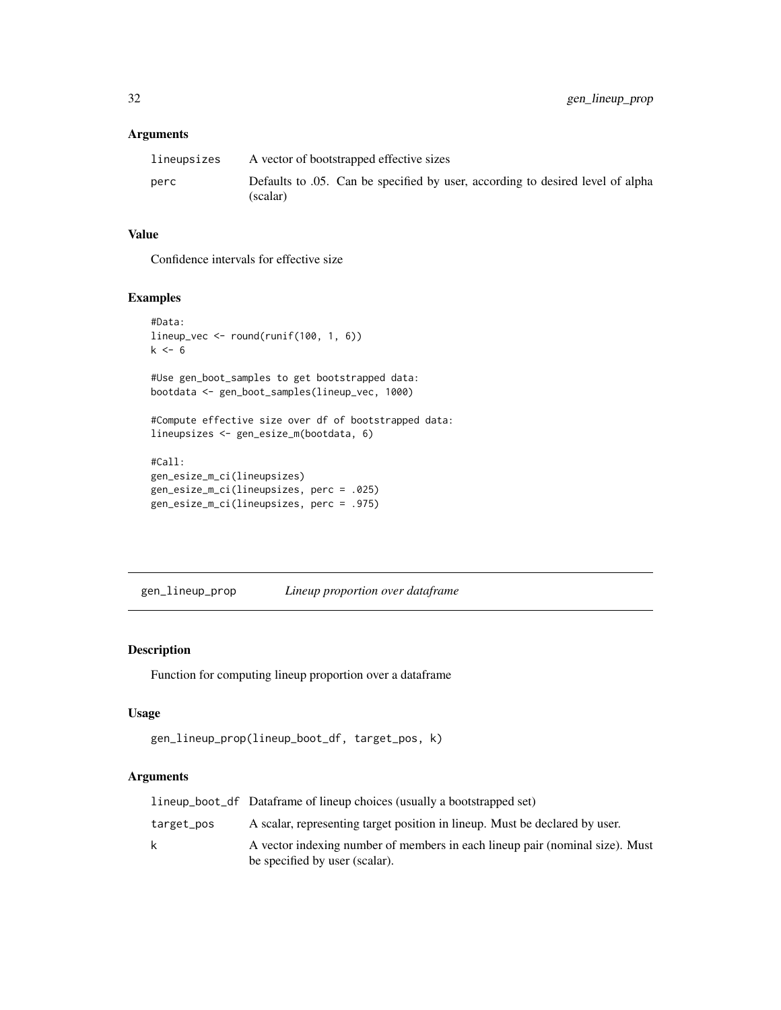# <span id="page-31-0"></span>Arguments

| lineupsizes | A vector of bootstrapped effective sizes                                                    |
|-------------|---------------------------------------------------------------------------------------------|
| perc        | Defaults to 0.05. Can be specified by user, according to desired level of alpha<br>(scalar) |

# Value

Confidence intervals for effective size

# Examples

```
#Data:
lineup_vec <- round(runif(100, 1, 6))
k \le -6#Use gen_boot_samples to get bootstrapped data:
bootdata <- gen_boot_samples(lineup_vec, 1000)
#Compute effective size over df of bootstrapped data:
lineupsizes <- gen_esize_m(bootdata, 6)
#Call:
gen_esize_m_ci(lineupsizes)
gen_esize_m_ci(lineupsizes, perc = .025)
gen_esize_m_ci(lineupsizes, perc = .975)
```
gen\_lineup\_prop *Lineup proportion over dataframe*

# Description

Function for computing lineup proportion over a dataframe

# Usage

```
gen_lineup_prop(lineup_boot_df, target_pos, k)
```
# Arguments

|            | lineup_boot_df Dataframe of lineup choices (usually a bootstrapped set)                                        |  |
|------------|----------------------------------------------------------------------------------------------------------------|--|
| target_pos | A scalar, representing target position in lineup. Must be declared by user.                                    |  |
| k          | A vector indexing number of members in each lineup pair (nominal size). Must<br>be specified by user (scalar). |  |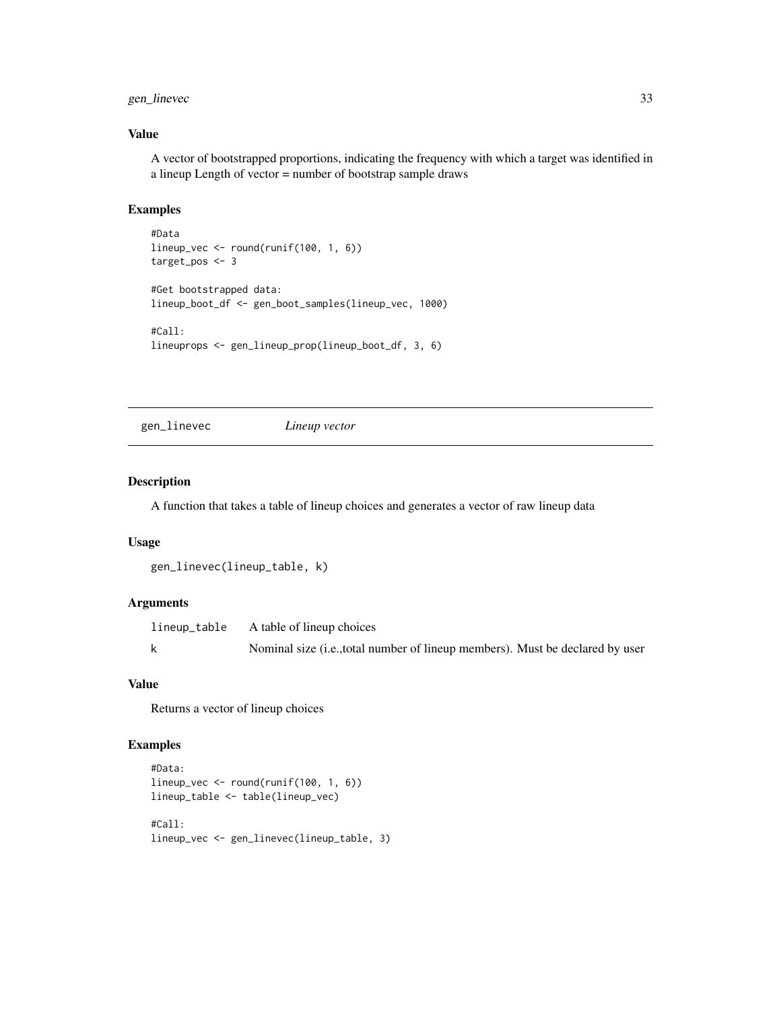# <span id="page-32-0"></span>gen\_linevec 33

# Value

A vector of bootstrapped proportions, indicating the frequency with which a target was identified in a lineup Length of vector = number of bootstrap sample draws

# Examples

```
#Data
lineup_vec <- round(runif(100, 1, 6))
target_pos <- 3
#Get bootstrapped data:
lineup_boot_df <- gen_boot_samples(lineup_vec, 1000)
#Call:
lineuprops <- gen_lineup_prop(lineup_boot_df, 3, 6)
```
gen\_linevec *Lineup vector*

# Description

A function that takes a table of lineup choices and generates a vector of raw lineup data

### Usage

```
gen_linevec(lineup_table, k)
```
# Arguments

| lineup_table | A table of lineup choices                                                     |
|--------------|-------------------------------------------------------------------------------|
|              | Nominal size (i.e., total number of lineup members). Must be declared by user |

# Value

Returns a vector of lineup choices

```
#Data:
lineup_vec <- round(runif(100, 1, 6))
lineup_table <- table(lineup_vec)
#Call:
lineup_vec <- gen_linevec(lineup_table, 3)
```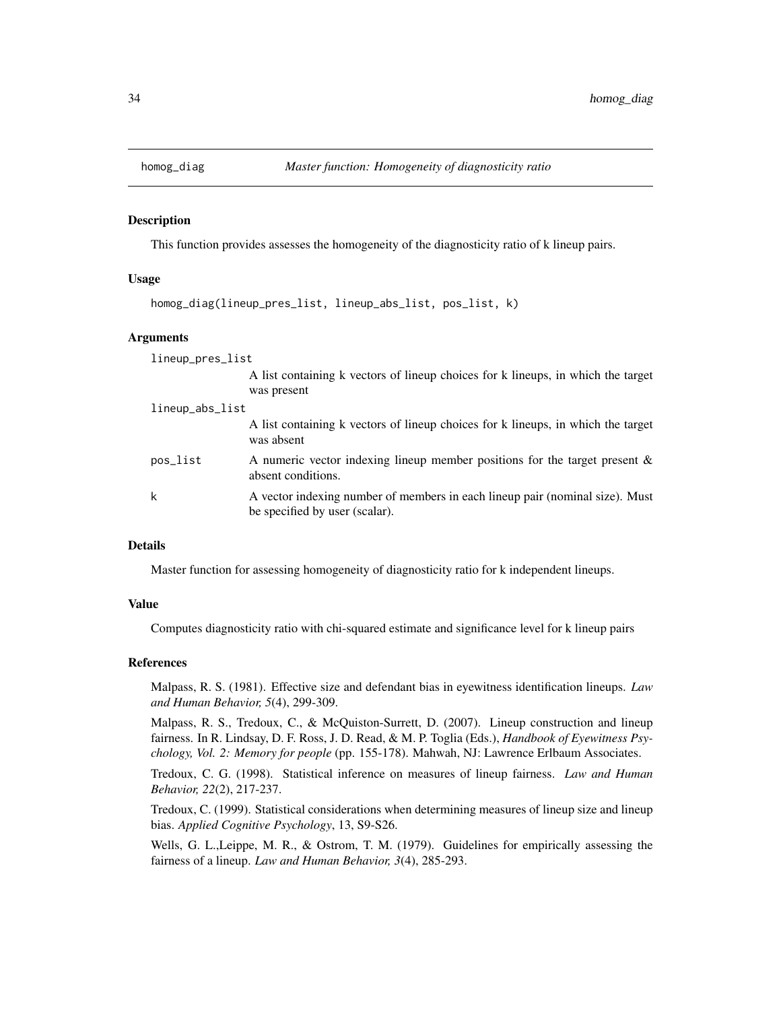<span id="page-33-0"></span>

#### Description

This function provides assesses the homogeneity of the diagnosticity ratio of k lineup pairs.

#### Usage

```
homog_diag(lineup_pres_list, lineup_abs_list, pos_list, k)
```
### **Arguments**

lineup\_pres\_list A list containing k vectors of lineup choices for k lineups, in which the target was present lineup\_abs\_list A list containing k vectors of lineup choices for k lineups, in which the target was absent pos\_list A numeric vector indexing lineup member positions for the target present & absent conditions. k A vector indexing number of members in each lineup pair (nominal size). Must be specified by user (scalar).

#### Details

Master function for assessing homogeneity of diagnosticity ratio for k independent lineups.

# Value

Computes diagnosticity ratio with chi-squared estimate and significance level for k lineup pairs

#### References

Malpass, R. S. (1981). Effective size and defendant bias in eyewitness identification lineups. *Law and Human Behavior, 5*(4), 299-309.

Malpass, R. S., Tredoux, C., & McQuiston-Surrett, D. (2007). Lineup construction and lineup fairness. In R. Lindsay, D. F. Ross, J. D. Read, & M. P. Toglia (Eds.), *Handbook of Eyewitness Psychology, Vol. 2: Memory for people* (pp. 155-178). Mahwah, NJ: Lawrence Erlbaum Associates.

Tredoux, C. G. (1998). Statistical inference on measures of lineup fairness. *Law and Human Behavior, 22*(2), 217-237.

Tredoux, C. (1999). Statistical considerations when determining measures of lineup size and lineup bias. *Applied Cognitive Psychology*, 13, S9-S26.

Wells, G. L.,Leippe, M. R., & Ostrom, T. M. (1979). Guidelines for empirically assessing the fairness of a lineup. *Law and Human Behavior, 3*(4), 285-293.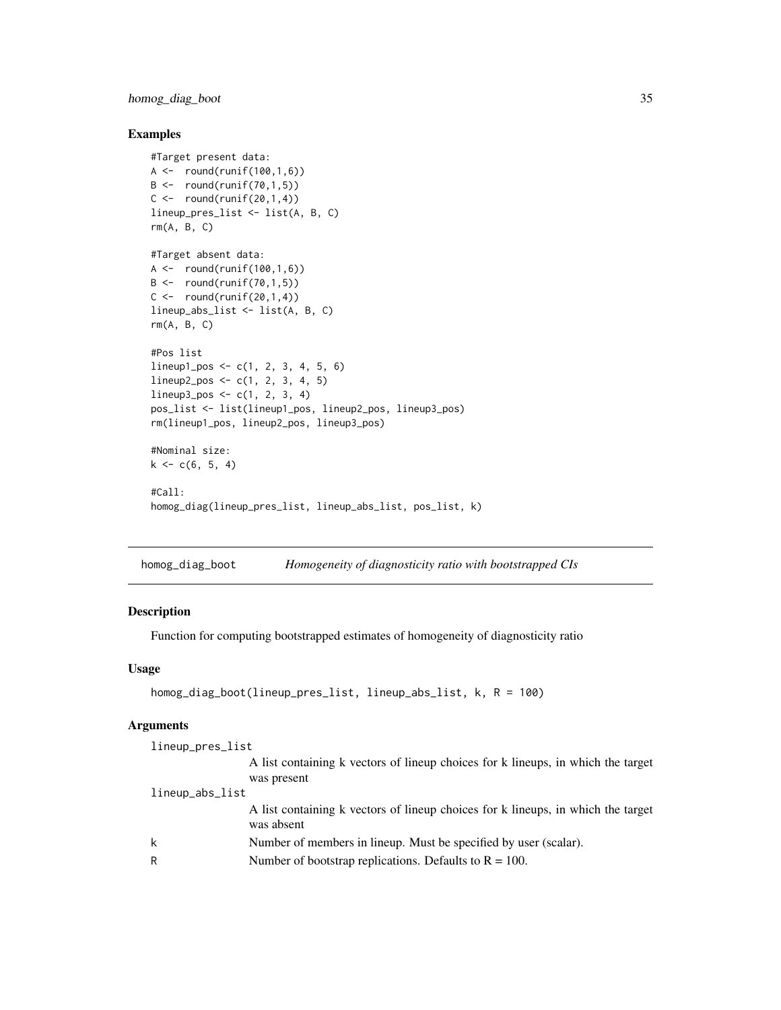# <span id="page-34-0"></span>homog\_diag\_boot 35

# Examples

```
#Target present data:
A \leftarrow \text{round}(\text{runif}(100, 1, 6))B \leftarrow \text{round}(\text{runif}(70,1,5))C \le - round(runif(20,1,4))
lineup_pres_list <- list(A, B, C)
rm(A, B, C)
#Target absent data:
A \leftarrow \text{round}(\text{runif}(100, 1, 6))B \leftarrow \text{round}(\text{runif}(70, 1, 5))C \leftarrow \text{round}(\text{runif}(20,1,4))lineup_abs_list <- list(A, B, C)
rm(A, B, C)
#Pos list
lineup1_pos <- c(1, 2, 3, 4, 5, 6)
lineup2_pos \leftarrow c(1, 2, 3, 4, 5)lineup3_pos < -c(1, 2, 3, 4)pos_list <- list(lineup1_pos, lineup2_pos, lineup3_pos)
rm(lineup1_pos, lineup2_pos, lineup3_pos)
#Nominal size:
k \leq c(6, 5, 4)#Call:
homog_diag(lineup_pres_list, lineup_abs_list, pos_list, k)
```
homog\_diag\_boot *Homogeneity of diagnosticity ratio with bootstrapped CIs*

# **Description**

Function for computing bootstrapped estimates of homogeneity of diagnosticity ratio

### Usage

```
homog_diag_boot(lineup_pres_list, lineup_abs_list, k, R = 100)
```
#### Arguments

```
lineup_pres_list
                 A list containing k vectors of lineup choices for k lineups, in which the target
                 was present
lineup_abs_list
                 A list containing k vectors of lineup choices for k lineups, in which the target
                 was absent
k Number of members in lineup. Must be specified by user (scalar).
R Number of bootstrap replications. Defaults to R = 100.
```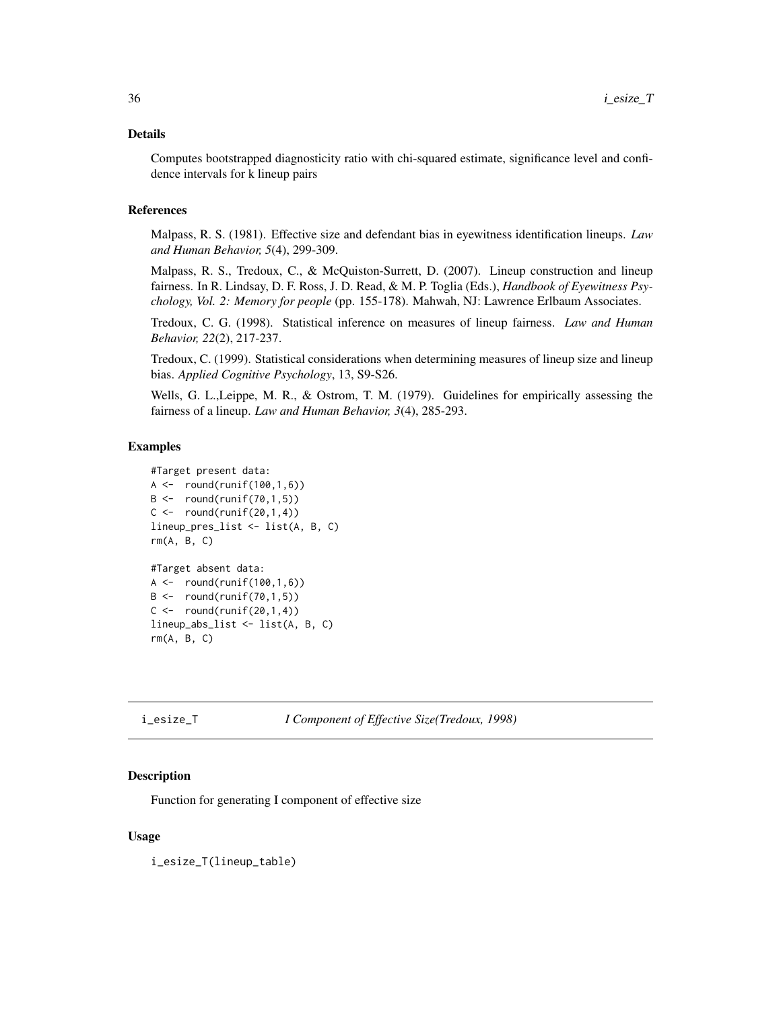# <span id="page-35-0"></span>Details

Computes bootstrapped diagnosticity ratio with chi-squared estimate, significance level and confidence intervals for k lineup pairs

# References

Malpass, R. S. (1981). Effective size and defendant bias in eyewitness identification lineups. *Law and Human Behavior, 5*(4), 299-309.

Malpass, R. S., Tredoux, C., & McQuiston-Surrett, D. (2007). Lineup construction and lineup fairness. In R. Lindsay, D. F. Ross, J. D. Read, & M. P. Toglia (Eds.), *Handbook of Eyewitness Psychology, Vol. 2: Memory for people* (pp. 155-178). Mahwah, NJ: Lawrence Erlbaum Associates.

Tredoux, C. G. (1998). Statistical inference on measures of lineup fairness. *Law and Human Behavior, 22*(2), 217-237.

Tredoux, C. (1999). Statistical considerations when determining measures of lineup size and lineup bias. *Applied Cognitive Psychology*, 13, S9-S26.

Wells, G. L.,Leippe, M. R., & Ostrom, T. M. (1979). Guidelines for empirically assessing the fairness of a lineup. *Law and Human Behavior, 3*(4), 285-293.

### Examples

```
#Target present data:
A \leftarrow \text{round}(\text{runif}(100, 1, 6))B \leftarrow \text{round}(\text{runif}(70, 1, 5))C \leftarrow \text{round}(\text{runif}(20,1,4))lineup_pres_list <- list(A, B, C)
rm(A, B, C)
#Target absent data:
A \leftarrow \text{round}(\text{runif}(100, 1, 6))B \leftarrow \text{round}(\text{runif}(70, 1, 5))C \leftarrow \text{round}(\text{runif}(20,1,4))lineup_abs_list <- list(A, B, C)
rm(A, B, C)
```
i\_esize\_T *I Component of Effective Size(Tredoux, 1998)*

#### Description

Function for generating I component of effective size

#### Usage

i\_esize\_T(lineup\_table)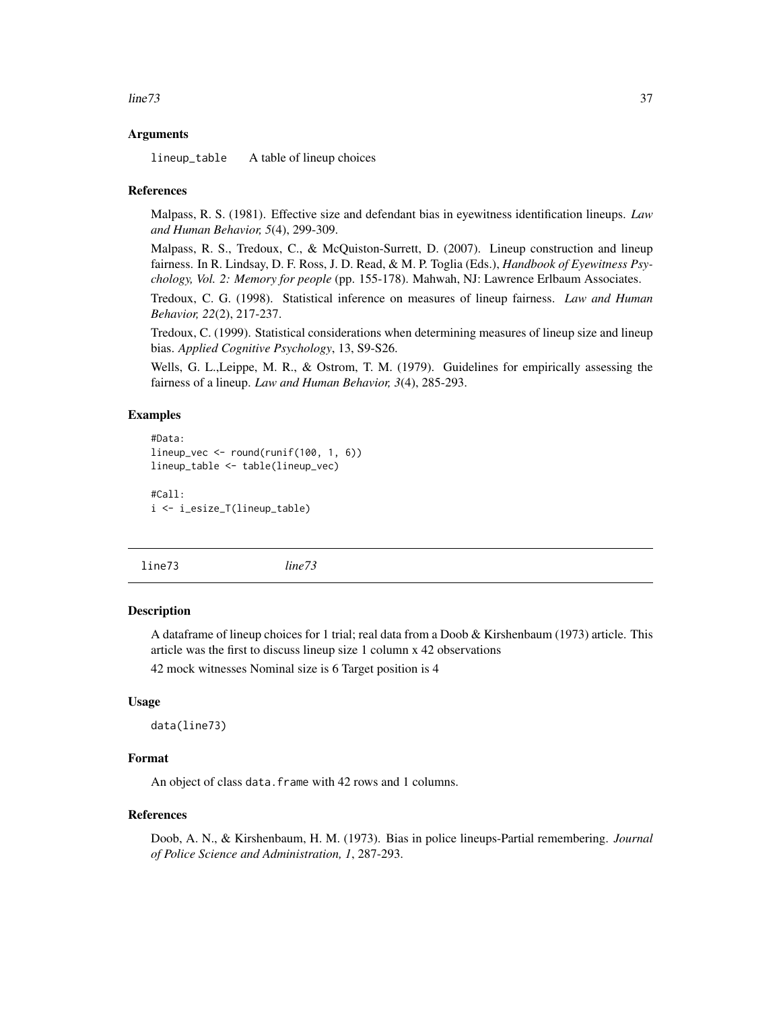#### <span id="page-36-0"></span> $\mu$  line 73 37

# Arguments

lineup\_table A table of lineup choices

#### References

Malpass, R. S. (1981). Effective size and defendant bias in eyewitness identification lineups. *Law and Human Behavior, 5*(4), 299-309.

Malpass, R. S., Tredoux, C., & McQuiston-Surrett, D. (2007). Lineup construction and lineup fairness. In R. Lindsay, D. F. Ross, J. D. Read, & M. P. Toglia (Eds.), *Handbook of Eyewitness Psychology, Vol. 2: Memory for people* (pp. 155-178). Mahwah, NJ: Lawrence Erlbaum Associates.

Tredoux, C. G. (1998). Statistical inference on measures of lineup fairness. *Law and Human Behavior, 22*(2), 217-237.

Tredoux, C. (1999). Statistical considerations when determining measures of lineup size and lineup bias. *Applied Cognitive Psychology*, 13, S9-S26.

Wells, G. L.,Leippe, M. R., & Ostrom, T. M. (1979). Guidelines for empirically assessing the fairness of a lineup. *Law and Human Behavior, 3*(4), 285-293.

# Examples

```
#Data:
lineup_vec <- round(runif(100, 1, 6))
lineup_table <- table(lineup_vec)
#Call:
i <- i_esize_T(lineup_table)
```
line73 *line73*

#### Description

A dataframe of lineup choices for 1 trial; real data from a Doob & Kirshenbaum (1973) article. This article was the first to discuss lineup size 1 column x 42 observations

42 mock witnesses Nominal size is 6 Target position is 4

# Usage

data(line73)

# Format

An object of class data.frame with 42 rows and 1 columns.

#### References

Doob, A. N., & Kirshenbaum, H. M. (1973). Bias in police lineups-Partial remembering. *Journal of Police Science and Administration, 1*, 287-293.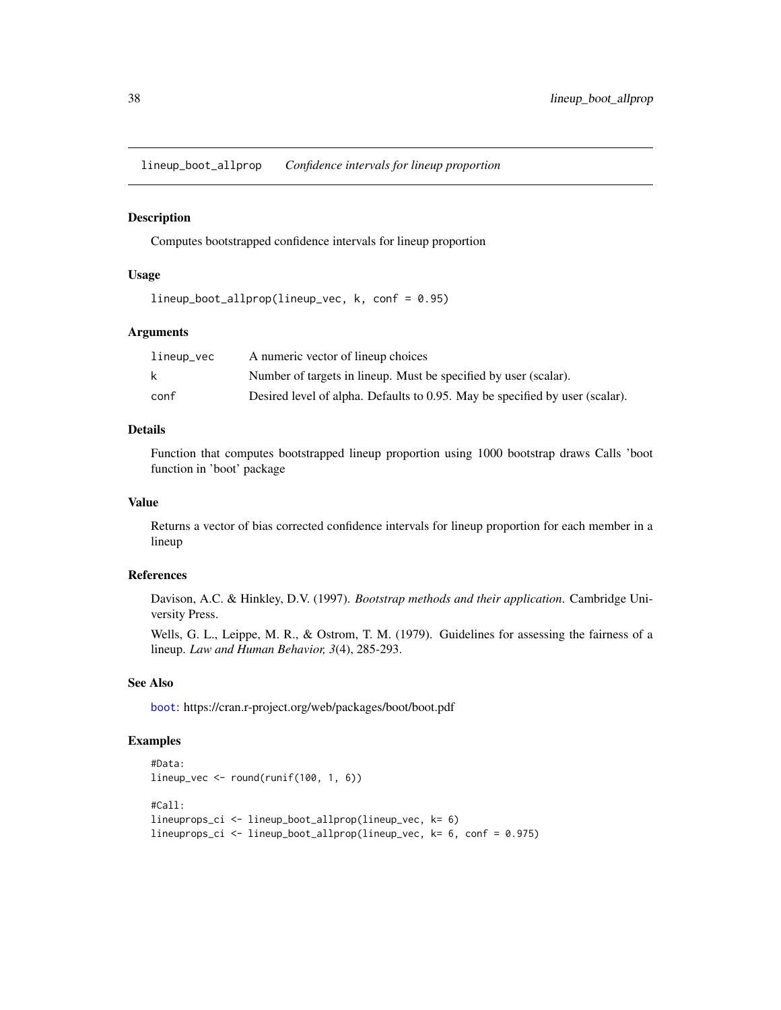<span id="page-37-0"></span>lineup\_boot\_allprop *Confidence intervals for lineup proportion*

# Description

Computes bootstrapped confidence intervals for lineup proportion

# Usage

lineup\_boot\_allprop(lineup\_vec, k, conf = 0.95)

# Arguments

| lineup_vec | A numeric vector of lineup choices                                           |
|------------|------------------------------------------------------------------------------|
|            | Number of targets in lineup. Must be specified by user (scalar).             |
| conf       | Desired level of alpha. Defaults to 0.95. May be specified by user (scalar). |

# Details

Function that computes bootstrapped lineup proportion using 1000 bootstrap draws Calls 'boot function in 'boot' package

#### Value

Returns a vector of bias corrected confidence intervals for lineup proportion for each member in a lineup

# References

Davison, A.C. & Hinkley, D.V. (1997). *Bootstrap methods and their application*. Cambridge University Press.

Wells, G. L., Leippe, M. R., & Ostrom, T. M. (1979). Guidelines for assessing the fairness of a lineup. *Law and Human Behavior, 3*(4), 285-293.

#### See Also

[boot](#page-0-0): https://cran.r-project.org/web/packages/boot/boot.pdf

```
#Data:
lineup_vec <- round(runif(100, 1, 6))
#Call:
lineuprops_ci <- lineup_boot_allprop(lineup_vec, k= 6)
lineuprops_ci <- lineup_boot_allprop(lineup_vec, k= 6, conf = 0.975)
```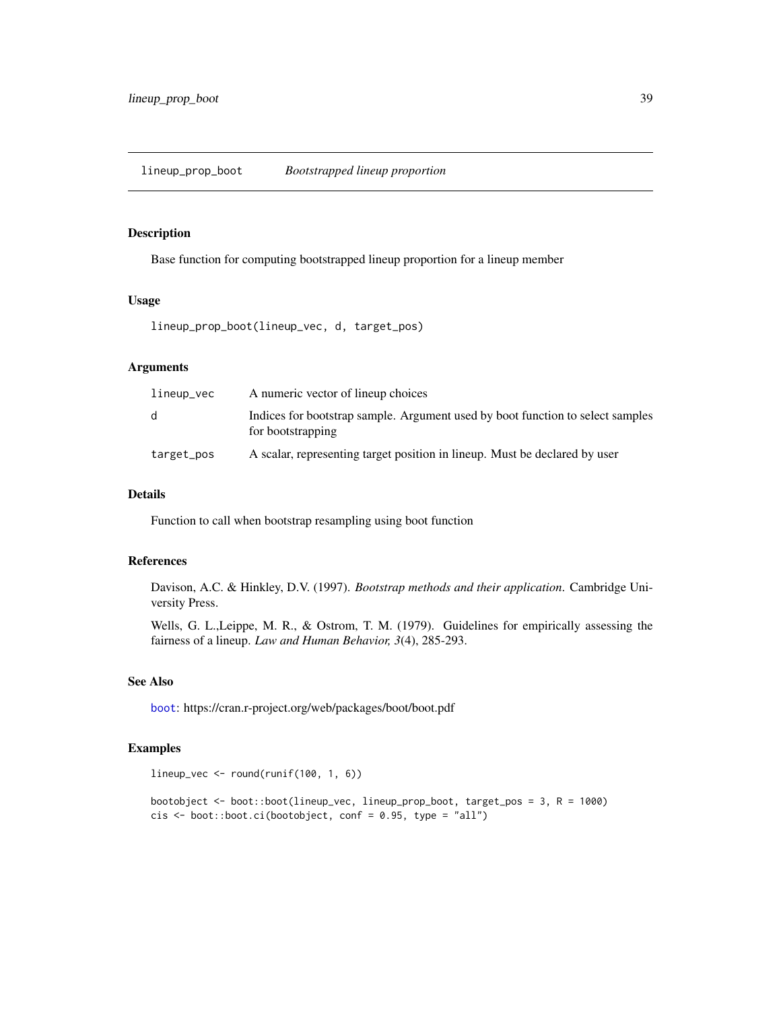# <span id="page-38-0"></span>Description

Base function for computing bootstrapped lineup proportion for a lineup member

# Usage

```
lineup_prop_boot(lineup_vec, d, target_pos)
```
# Arguments

| lineup_vec | A numeric vector of lineup choices                                                                  |
|------------|-----------------------------------------------------------------------------------------------------|
| d          | Indices for bootstrap sample. Argument used by boot function to select samples<br>for bootstrapping |
| target_pos | A scalar, representing target position in lineup. Must be declared by user                          |

# Details

Function to call when bootstrap resampling using boot function

# References

Davison, A.C. & Hinkley, D.V. (1997). *Bootstrap methods and their application*. Cambridge University Press.

Wells, G. L.,Leippe, M. R., & Ostrom, T. M. (1979). Guidelines for empirically assessing the fairness of a lineup. *Law and Human Behavior, 3*(4), 285-293.

# See Also

[boot](#page-0-0): https://cran.r-project.org/web/packages/boot/boot.pdf

```
lineup_vec <- round(runif(100, 1, 6))
```

```
bootobject <- boot::boot(lineup_vec, lineup_prop_boot, target_pos = 3, R = 1000)
cis \le boot::boot.ci(bootobject, conf = 0.95, type = "all")
```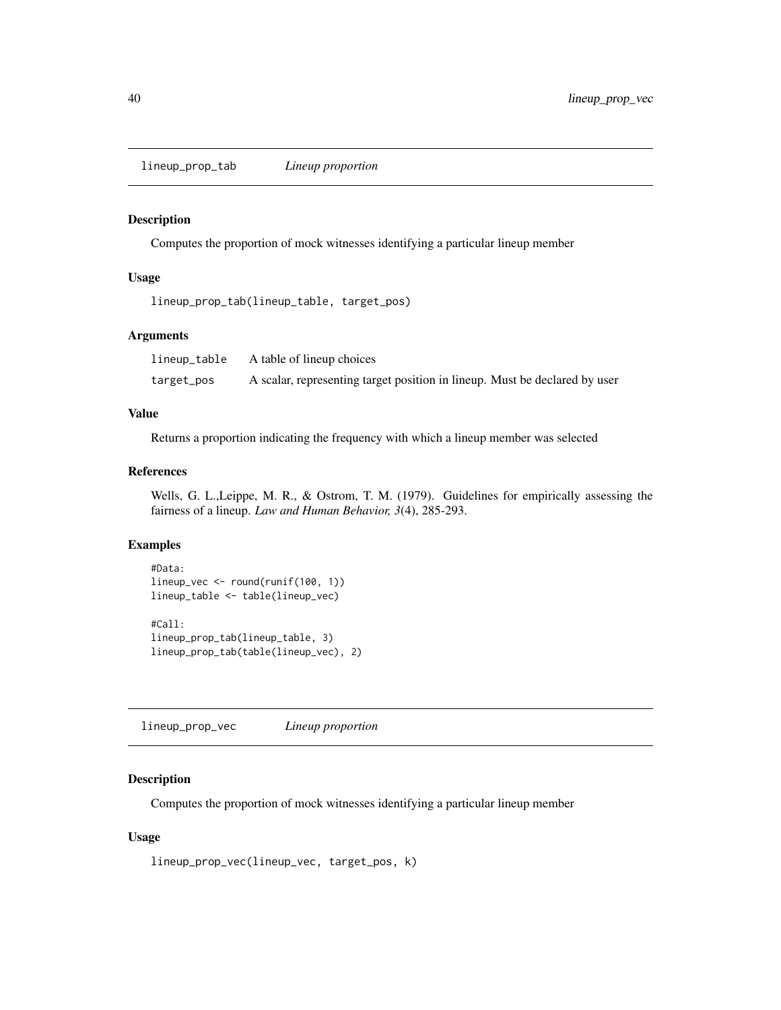<span id="page-39-0"></span>lineup\_prop\_tab *Lineup proportion*

# Description

Computes the proportion of mock witnesses identifying a particular lineup member

# Usage

lineup\_prop\_tab(lineup\_table, target\_pos)

# Arguments

| lineup_table | A table of lineup choices                                                  |
|--------------|----------------------------------------------------------------------------|
| target_pos   | A scalar, representing target position in lineup. Must be declared by user |

# Value

Returns a proportion indicating the frequency with which a lineup member was selected

# References

Wells, G. L.,Leippe, M. R., & Ostrom, T. M. (1979). Guidelines for empirically assessing the fairness of a lineup. *Law and Human Behavior, 3*(4), 285-293.

#### Examples

```
#Data:
lineup_vec <- round(runif(100, 1))
lineup_table <- table(lineup_vec)
#Call:
lineup_prop_tab(lineup_table, 3)
lineup_prop_tab(table(lineup_vec), 2)
```
lineup\_prop\_vec *Lineup proportion*

# Description

Computes the proportion of mock witnesses identifying a particular lineup member

# Usage

```
lineup_prop_vec(lineup_vec, target_pos, k)
```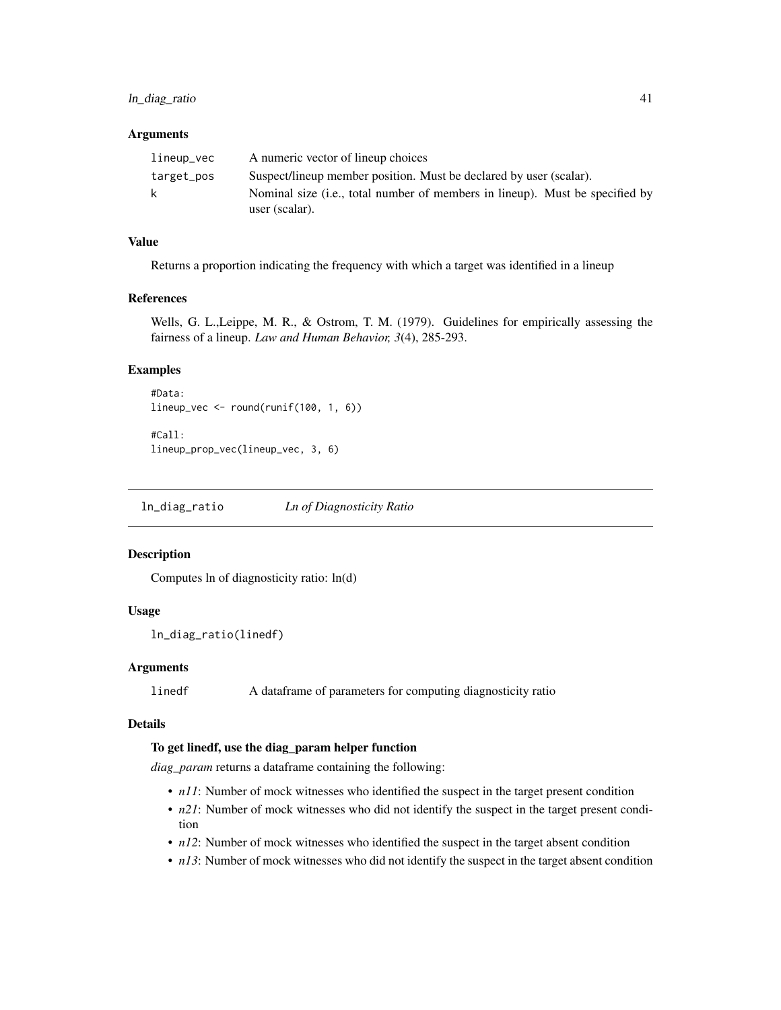# <span id="page-40-0"></span>ln\_diag\_ratio 41

#### **Arguments**

| lineup_vec | A numeric vector of lineup choices                                                             |
|------------|------------------------------------------------------------------------------------------------|
| target_pos | Suspect/lineup member position. Must be declared by user (scalar).                             |
| k          | Nominal size (i.e., total number of members in lineup). Must be specified by<br>user (scalar). |

# Value

Returns a proportion indicating the frequency with which a target was identified in a lineup

#### References

Wells, G. L.,Leippe, M. R., & Ostrom, T. M. (1979). Guidelines for empirically assessing the fairness of a lineup. *Law and Human Behavior, 3*(4), 285-293.

# Examples

```
#Data:
lineup_vec <- round(runif(100, 1, 6))
#Call:
lineup_prop_vec(lineup_vec, 3, 6)
```
ln\_diag\_ratio *Ln of Diagnosticity Ratio*

# Description

Computes ln of diagnosticity ratio: ln(d)

# Usage

ln\_diag\_ratio(linedf)

# Arguments

linedf A dataframe of parameters for computing diagnosticity ratio

# Details

# To get linedf, use the diag\_param helper function

*diag\_param* returns a dataframe containing the following:

- *n11*: Number of mock witnesses who identified the suspect in the target present condition
- *n21*: Number of mock witnesses who did not identify the suspect in the target present condition
- *n12*: Number of mock witnesses who identified the suspect in the target absent condition
- *n13*: Number of mock witnesses who did not identify the suspect in the target absent condition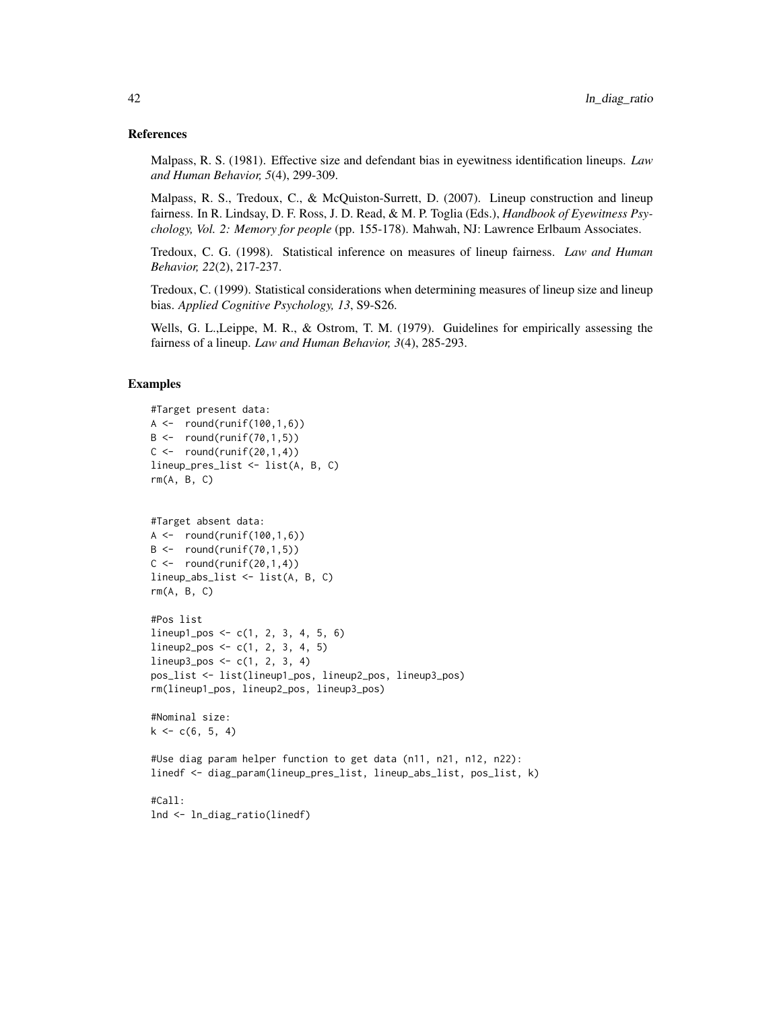#### References

Malpass, R. S. (1981). Effective size and defendant bias in eyewitness identification lineups. *Law and Human Behavior, 5*(4), 299-309.

Malpass, R. S., Tredoux, C., & McQuiston-Surrett, D. (2007). Lineup construction and lineup fairness. In R. Lindsay, D. F. Ross, J. D. Read, & M. P. Toglia (Eds.), *Handbook of Eyewitness Psychology, Vol. 2: Memory for people* (pp. 155-178). Mahwah, NJ: Lawrence Erlbaum Associates.

Tredoux, C. G. (1998). Statistical inference on measures of lineup fairness. *Law and Human Behavior, 22*(2), 217-237.

Tredoux, C. (1999). Statistical considerations when determining measures of lineup size and lineup bias. *Applied Cognitive Psychology, 13*, S9-S26.

Wells, G. L.,Leippe, M. R., & Ostrom, T. M. (1979). Guidelines for empirically assessing the fairness of a lineup. *Law and Human Behavior, 3*(4), 285-293.

### Examples

```
#Target present data:
A \leftarrow \text{round}(\text{runif}(100, 1, 6))B \leftarrow \text{round}(\text{runif}(70, 1, 5))C \leftarrow \text{round}(\text{runif}(20,1,4))lineup_pres_list <- list(A, B, C)
rm(A, B, C)
```

```
#Target absent data:
A \leq - round(runif(100,1,6))
B \leftarrow \text{round}(\text{runif}(70, 1, 5))C \leftarrow \text{round}(\text{runif}(20,1,4))lineup_abs_list <- list(A, B, C)
rm(A, B, C)
```

```
#Pos list
lineup1_pos <- c(1, 2, 3, 4, 5, 6)
lineup2_pos <- c(1, 2, 3, 4, 5)
lineup3_pos <- c(1, 2, 3, 4)
pos_list <- list(lineup1_pos, lineup2_pos, lineup3_pos)
rm(lineup1_pos, lineup2_pos, lineup3_pos)
```

```
#Nominal size:
k \leq c(6, 5, 4)
```
#Use diag param helper function to get data (n11, n21, n12, n22): linedf <- diag\_param(lineup\_pres\_list, lineup\_abs\_list, pos\_list, k)

#Call: lnd <- ln\_diag\_ratio(linedf)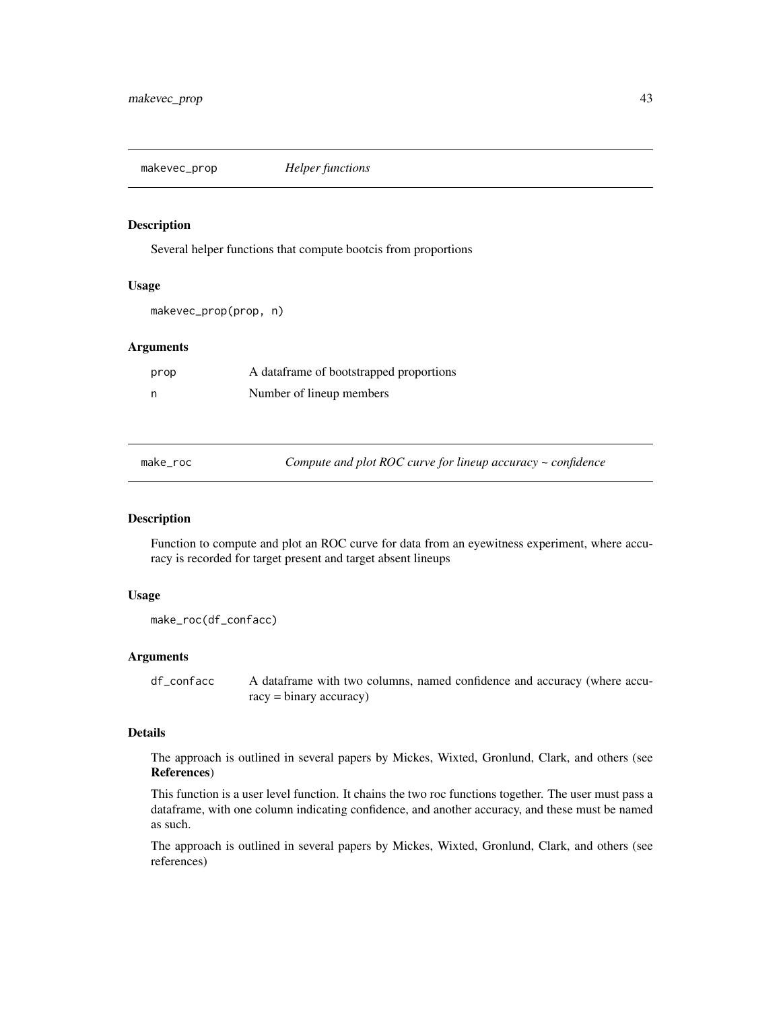<span id="page-42-0"></span>makevec\_prop *Helper functions*

# **Description**

Several helper functions that compute bootcis from proportions

#### Usage

```
makevec_prop(prop, n)
```
# **Arguments**

| prop | A dataframe of bootstrapped proportions |
|------|-----------------------------------------|
| - n  | Number of lineup members                |

make\_roc *Compute and plot ROC curve for lineup accuracy ~ confidence*

# Description

Function to compute and plot an ROC curve for data from an eyewitness experiment, where accuracy is recorded for target present and target absent lineups

# Usage

```
make_roc(df_confacc)
```
# Arguments

df\_confacc A dataframe with two columns, named confidence and accuracy (where accuracy = binary accuracy)

# Details

The approach is outlined in several papers by Mickes, Wixted, Gronlund, Clark, and others (see References)

This function is a user level function. It chains the two roc functions together. The user must pass a dataframe, with one column indicating confidence, and another accuracy, and these must be named as such.

The approach is outlined in several papers by Mickes, Wixted, Gronlund, Clark, and others (see references)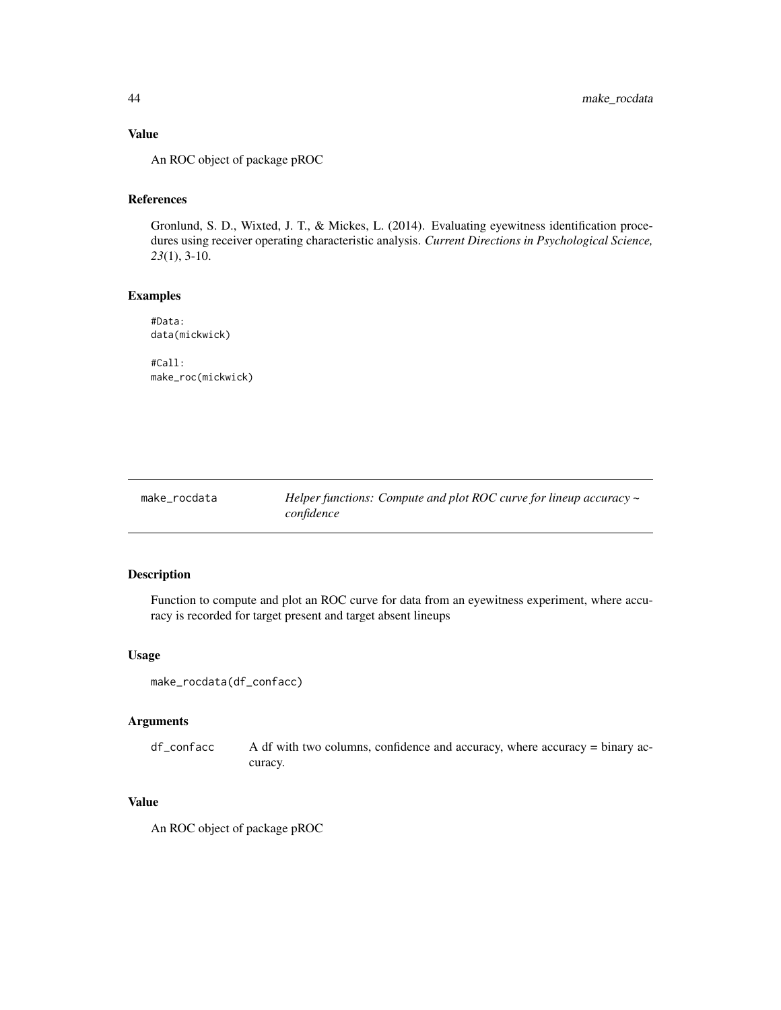# Value

An ROC object of package pROC

# References

Gronlund, S. D., Wixted, J. T., & Mickes, L. (2014). Evaluating eyewitness identification procedures using receiver operating characteristic analysis. *Current Directions in Psychological Science, 23*(1), 3-10.

# Examples

#Data: data(mickwick)

#Call: make\_roc(mickwick)

make\_rocdata *Helper functions: Compute and plot ROC curve for lineup accuracy ~ confidence*

# Description

Function to compute and plot an ROC curve for data from an eyewitness experiment, where accuracy is recorded for target present and target absent lineups

#### Usage

```
make_rocdata(df_confacc)
```
#### Arguments

df\_confacc A df with two columns, confidence and accuracy, where accuracy = binary accuracy.

# Value

An ROC object of package pROC

<span id="page-43-0"></span>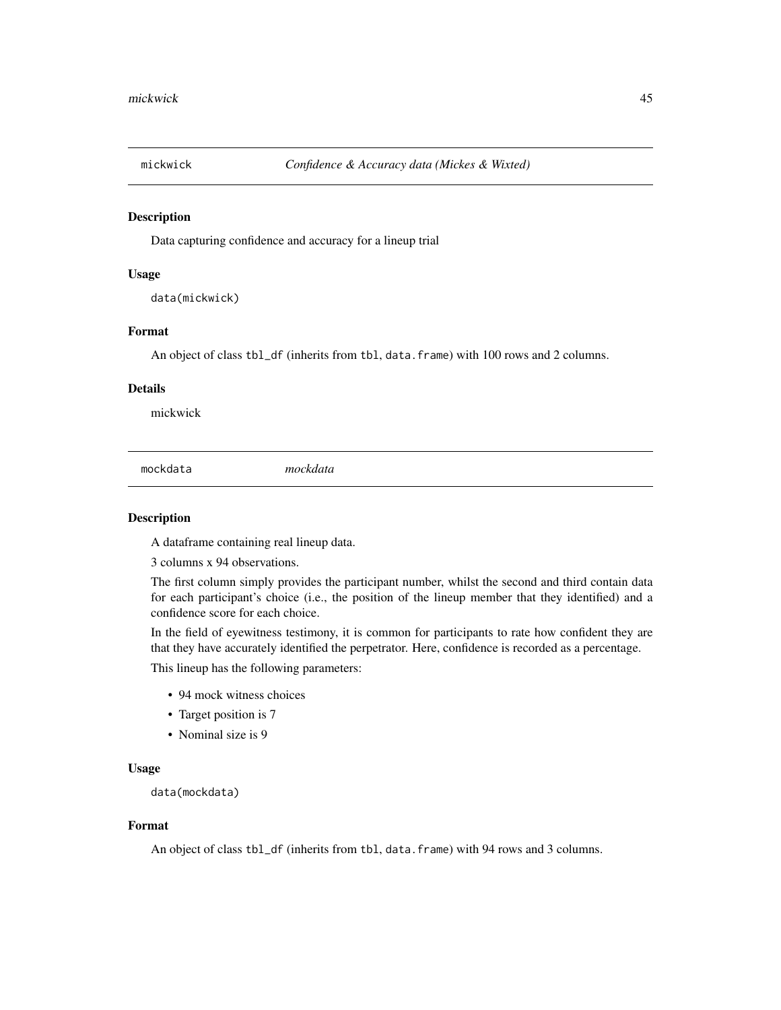<span id="page-44-0"></span>

# Description

Data capturing confidence and accuracy for a lineup trial

### Usage

data(mickwick)

# Format

An object of class tbl\_df (inherits from tbl, data.frame) with 100 rows and 2 columns.

# Details

mickwick

mockdata *mockdata*

# Description

A dataframe containing real lineup data.

3 columns x 94 observations.

The first column simply provides the participant number, whilst the second and third contain data for each participant's choice (i.e., the position of the lineup member that they identified) and a confidence score for each choice.

In the field of eyewitness testimony, it is common for participants to rate how confident they are that they have accurately identified the perpetrator. Here, confidence is recorded as a percentage.

This lineup has the following parameters:

- 94 mock witness choices
- Target position is 7
- Nominal size is 9

#### Usage

data(mockdata)

#### Format

An object of class tbl\_df (inherits from tbl, data.frame) with 94 rows and 3 columns.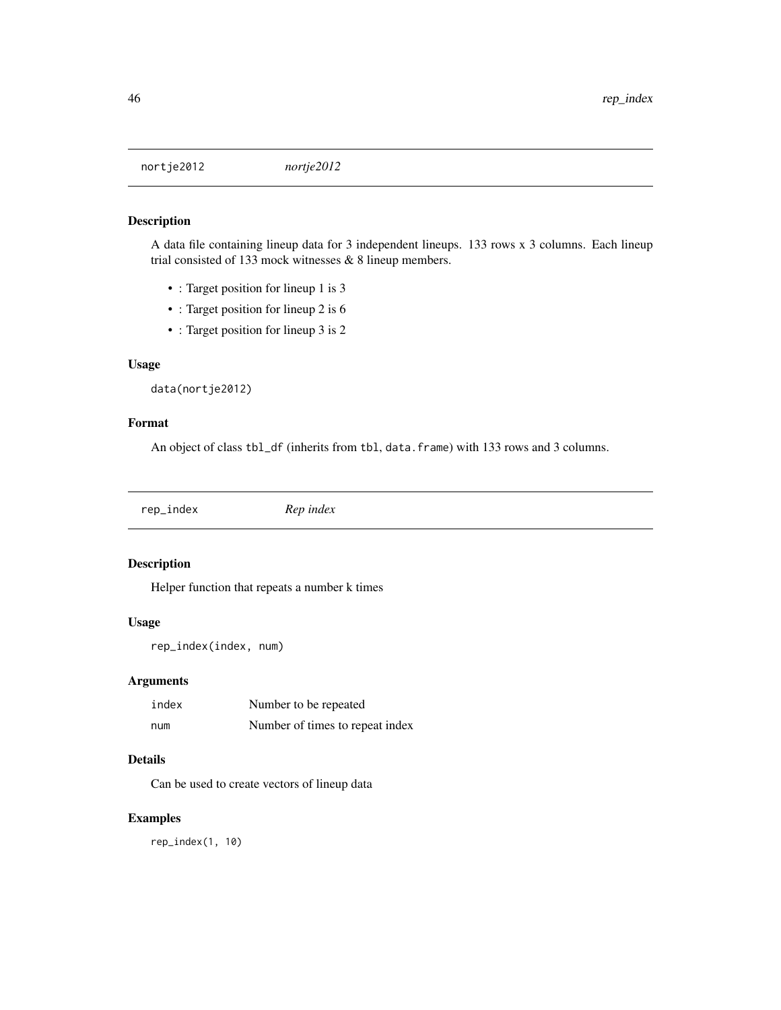<span id="page-45-0"></span>nortje2012 *nortje2012*

# Description

A data file containing lineup data for 3 independent lineups. 133 rows x 3 columns. Each lineup trial consisted of 133 mock witnesses & 8 lineup members.

- : Target position for lineup 1 is 3
- : Target position for lineup 2 is 6
- : Target position for lineup 3 is 2

# Usage

```
data(nortje2012)
```
#### Format

An object of class tbl\_df (inherits from tbl, data.frame) with 133 rows and 3 columns.

rep\_index *Rep index*

# Description

Helper function that repeats a number k times

#### Usage

```
rep_index(index, num)
```
# Arguments

| index | Number to be repeated           |
|-------|---------------------------------|
| num   | Number of times to repeat index |

# Details

Can be used to create vectors of lineup data

# Examples

rep\_index(1, 10)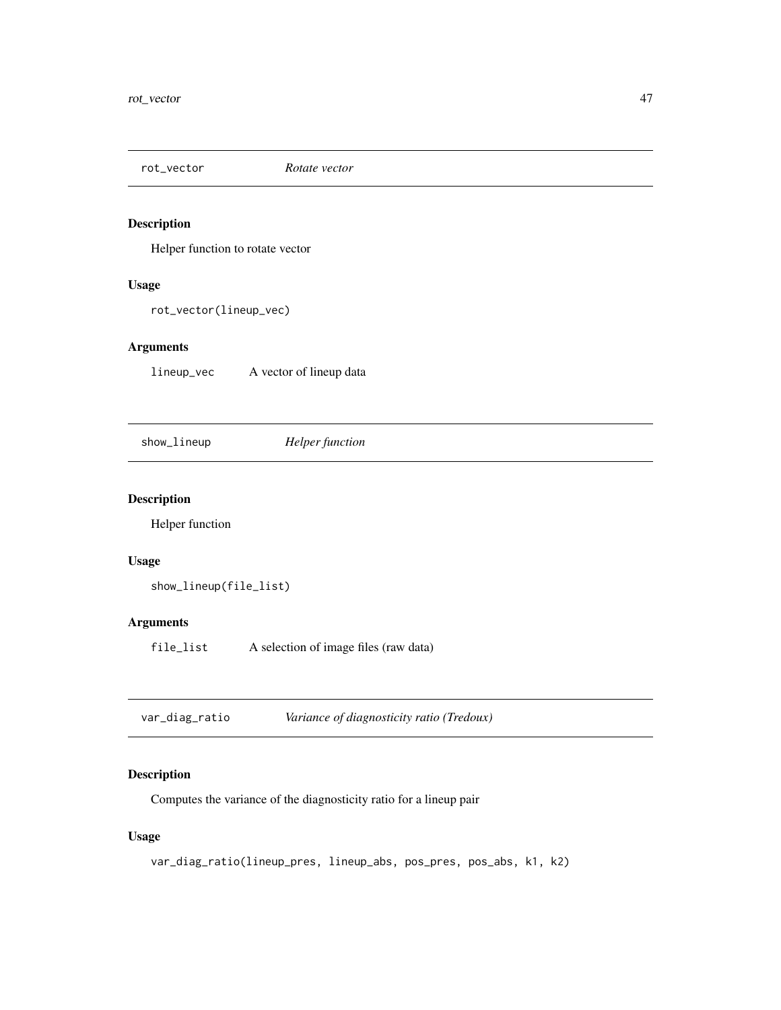<span id="page-46-0"></span>

# Description

Helper function to rotate vector

#### Usage

rot\_vector(lineup\_vec)

# Arguments

lineup\_vec A vector of lineup data

show\_lineup *Helper function*

# Description

Helper function

# Usage

```
show_lineup(file_list)
```
# Arguments

file\_list A selection of image files (raw data)

| var_diag_ratio | Variance of diagnosticity ratio (Tredoux) |
|----------------|-------------------------------------------|
|----------------|-------------------------------------------|

# Description

Computes the variance of the diagnosticity ratio for a lineup pair

# Usage

```
var_diag_ratio(lineup_pres, lineup_abs, pos_pres, pos_abs, k1, k2)
```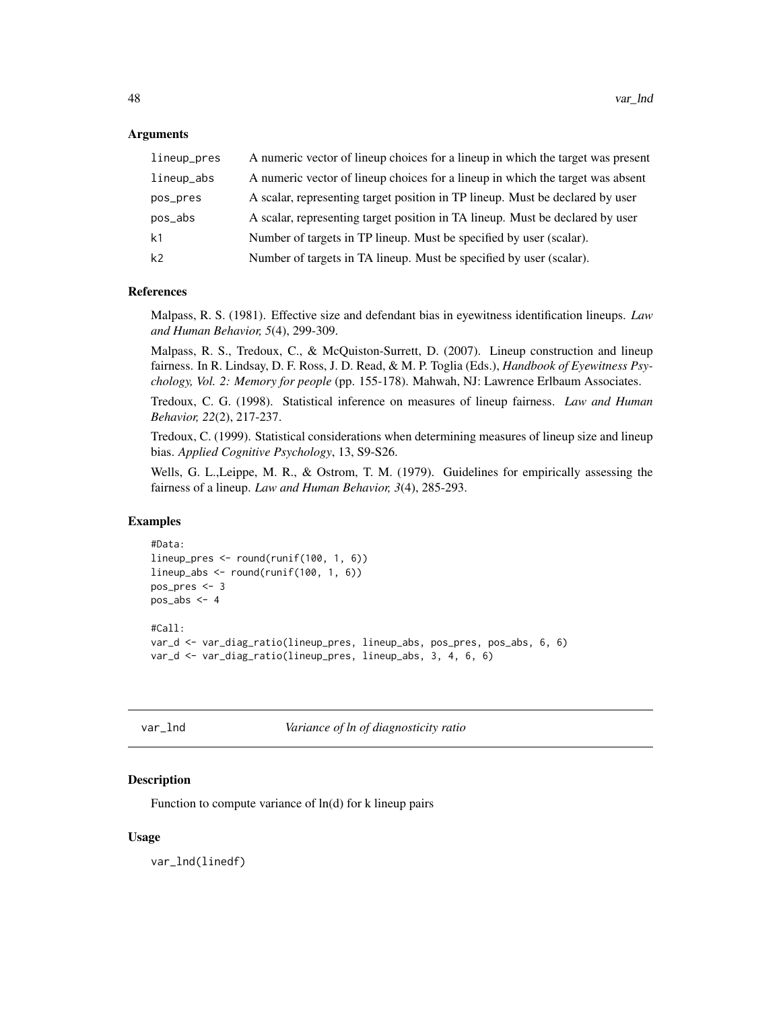# <span id="page-47-0"></span>Arguments

| lineup_pres    | A numeric vector of lineup choices for a lineup in which the target was present |
|----------------|---------------------------------------------------------------------------------|
| lineup_abs     | A numeric vector of lineup choices for a lineup in which the target was absent  |
| pos_pres       | A scalar, representing target position in TP lineup. Must be declared by user   |
| pos_abs        | A scalar, representing target position in TA lineup. Must be declared by user   |
| k <sub>1</sub> | Number of targets in TP lineup. Must be specified by user (scalar).             |
| k <sub>2</sub> | Number of targets in TA lineup. Must be specified by user (scalar).             |

# References

Malpass, R. S. (1981). Effective size and defendant bias in eyewitness identification lineups. *Law and Human Behavior, 5*(4), 299-309.

Malpass, R. S., Tredoux, C., & McQuiston-Surrett, D. (2007). Lineup construction and lineup fairness. In R. Lindsay, D. F. Ross, J. D. Read, & M. P. Toglia (Eds.), *Handbook of Eyewitness Psychology, Vol. 2: Memory for people* (pp. 155-178). Mahwah, NJ: Lawrence Erlbaum Associates.

Tredoux, C. G. (1998). Statistical inference on measures of lineup fairness. *Law and Human Behavior, 22*(2), 217-237.

Tredoux, C. (1999). Statistical considerations when determining measures of lineup size and lineup bias. *Applied Cognitive Psychology*, 13, S9-S26.

Wells, G. L.,Leippe, M. R., & Ostrom, T. M. (1979). Guidelines for empirically assessing the fairness of a lineup. *Law and Human Behavior, 3*(4), 285-293.

#### Examples

```
#Data:
lineup_pres <- round(runif(100, 1, 6))
lineup_abs <- round(runif(100, 1, 6))
pos_pres <- 3
pos_abs < -4#Call:
var_d <- var_diag_ratio(lineup_pres, lineup_abs, pos_pres, pos_abs, 6, 6)
var_d <- var_diag_ratio(lineup_pres, lineup_abs, 3, 4, 6, 6)
```
var\_lnd *Variance of ln of diagnosticity ratio*

# **Description**

Function to compute variance of  $ln(d)$  for k lineup pairs

#### Usage

var\_lnd(linedf)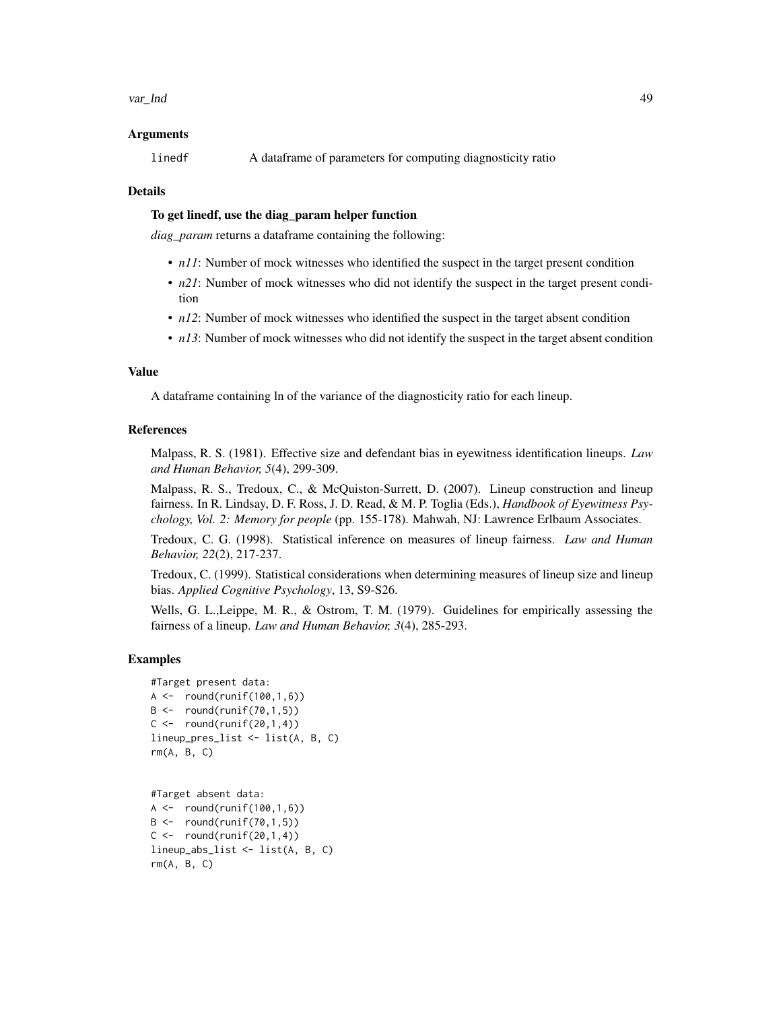# Arguments

linedf A dataframe of parameters for computing diagnosticity ratio

#### Details

# To get linedf, use the diag\_param helper function

*diag\_param* returns a dataframe containing the following:

- *n11*: Number of mock witnesses who identified the suspect in the target present condition
- *n21*: Number of mock witnesses who did not identify the suspect in the target present condition
- *n12*: Number of mock witnesses who identified the suspect in the target absent condition
- *n13*: Number of mock witnesses who did not identify the suspect in the target absent condition

# Value

A dataframe containing ln of the variance of the diagnosticity ratio for each lineup.

#### References

Malpass, R. S. (1981). Effective size and defendant bias in eyewitness identification lineups. *Law and Human Behavior, 5*(4), 299-309.

Malpass, R. S., Tredoux, C., & McQuiston-Surrett, D. (2007). Lineup construction and lineup fairness. In R. Lindsay, D. F. Ross, J. D. Read, & M. P. Toglia (Eds.), *Handbook of Eyewitness Psychology, Vol. 2: Memory for people* (pp. 155-178). Mahwah, NJ: Lawrence Erlbaum Associates.

Tredoux, C. G. (1998). Statistical inference on measures of lineup fairness. *Law and Human Behavior, 22*(2), 217-237.

Tredoux, C. (1999). Statistical considerations when determining measures of lineup size and lineup bias. *Applied Cognitive Psychology*, 13, S9-S26.

Wells, G. L.,Leippe, M. R., & Ostrom, T. M. (1979). Guidelines for empirically assessing the fairness of a lineup. *Law and Human Behavior, 3*(4), 285-293.

```
#Target present data:
A \leftarrow \text{round}(\text{runif}(100, 1, 6))B \leftarrow \text{round}(\text{runif}(70, 1, 5))C \leftarrow \text{round}(\text{runif}(20,1,4))lineup_pres_list <- list(A, B, C)
rm(A, B, C)
```

```
#Target absent data:
A \leftarrow \text{round}(\text{runif}(100, 1, 6))B \leftarrow \text{round}(\text{runif}(70, 1, 5))C \le - round(runif(20,1,4))
lineup_abs_list <- list(A, B, C)
rm(A, B, C)
```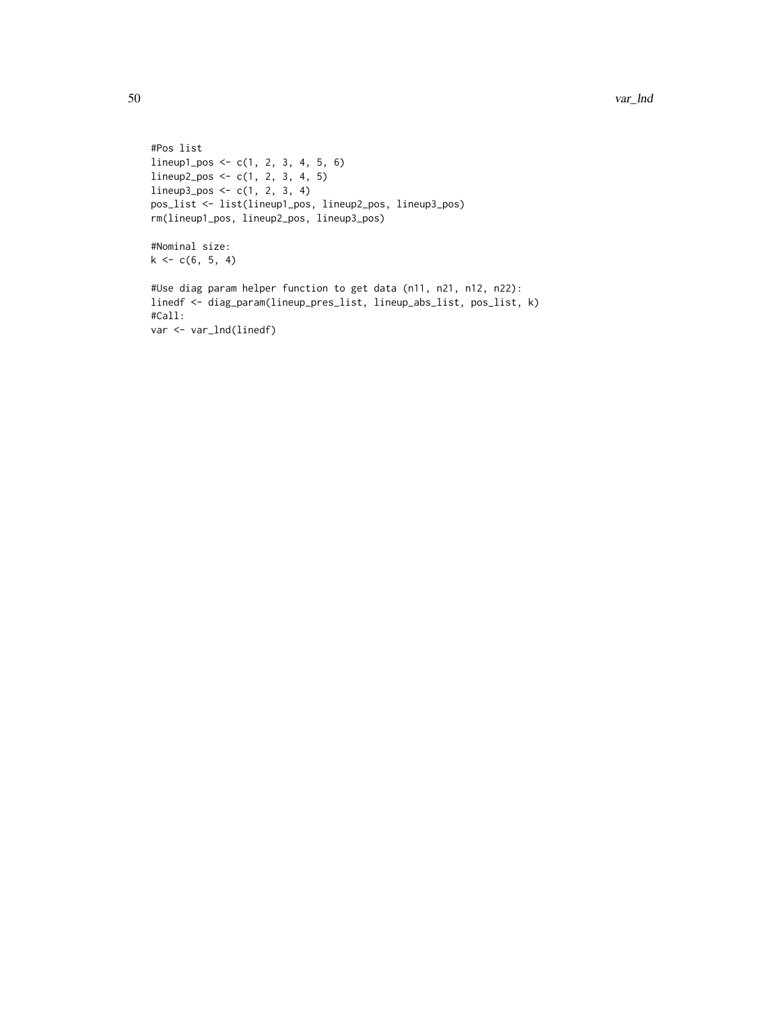```
#Pos list
lineup1_pos <- c(1, 2, 3, 4, 5, 6)
lineup2_pos <- c(1, 2, 3, 4, 5)
lineup3_pos < -c(1, 2, 3, 4)pos_list <- list(lineup1_pos, lineup2_pos, lineup3_pos)
rm(lineup1_pos, lineup2_pos, lineup3_pos)
#Nominal size:
k \leq -c(6, 5, 4)#Use diag param helper function to get data (n11, n21, n12, n22):
linedf <- diag_param(lineup_pres_list, lineup_abs_list, pos_list, k)
#Call:
var <- var_lnd(linedf)
```